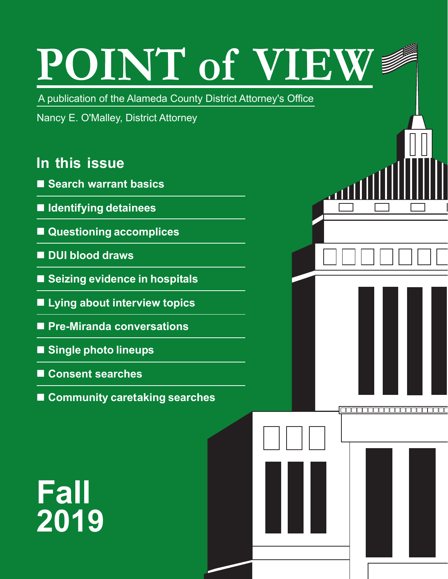# **POINT of VIEW**

A publication of the Alameda County District Attorney's Office

Nancy E. O'Malley, District Attorney

### **In this issue**

- **Search warrant basics**
- **Identifying detainees**
- **Questioning accomplices**
- DUI blood draws
- Seizing evidence in hospitals
- **Lying about interview topics**
- **Pre-Miranda conversations**
- **Single photo lineups**
- Consent searches
- Community caretaking searches

# **Fall 2019**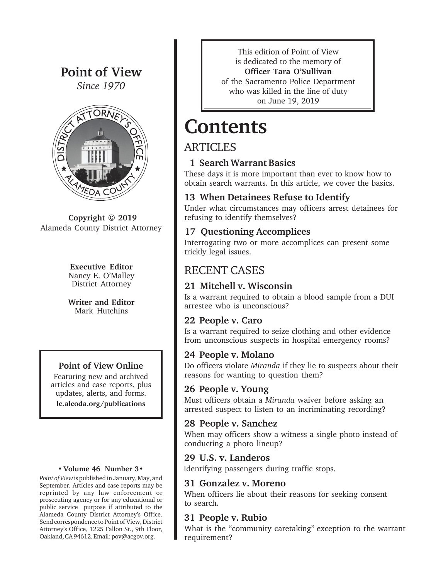#### Point of View

*Since 1970*



Copyright © 2019 Alameda County District Attorney

#### Executive Editor Nancy E. O'Malley District Attorney

Writer and Editor Mark Hutchins

#### Point of View Online

Featuring new and archived articles and case reports, plus updates, alerts, and forms. le.alcoda.org/publications

#### • Volume 46 Number 3•

*Point of View* is published in January, May, and September. Articles and case reports may be reprinted by any law enforcement or prosecuting agency or for any educational or public service purpose if attributed to the Alameda County District Attorney's Office. Send correspondence to Point of View, District Attorney's Office, 1225 Fallon St., 9th Floor, Oakland, CA 94612. Email: pov@acgov.org.

This edition of Point of View is dedicated to the memory of Officer Tara O'Sullivan of the Sacramento Police Department who was killed in the line of duty on June 19, 2019

### **Contents**

#### ARTICLES

#### 1 Search Warrant Basics

These days it is more important than ever to know how to obtain search warrants. In this article, we cover the basics.

#### 13 When Detainees Refuse to Identify

Under what circumstances may officers arrest detainees for refusing to identify themselves?

#### 17 Questioning Accomplices

Interrogating two or more accomplices can present some trickly legal issues.

#### RECENT CASES

#### 21 Mitchell v. Wisconsin

Is a warrant required to obtain a blood sample from a DUI arrestee who is unconscious?

#### 22 People v. Caro

Is a warrant required to seize clothing and other evidence from unconscious suspects in hospital emergency rooms?

#### 24 People v. Molano

Do officers violate *Miranda* if they lie to suspects about their reasons for wanting to question them?

#### 26 People v. Young

Must officers obtain a *Miranda* waiver before asking an arrested suspect to listen to an incriminating recording?

#### 28 People v. Sanchez

When may officers show a witness a single photo instead of conducting a photo lineup?

#### 29 U.S. v. Landeros

Identifying passengers during traffic stops.

#### 31 Gonzalez v. Moreno

When officers lie about their reasons for seeking consent to search.

#### 31 People v. Rubio

What is the "community caretaking" exception to the warrant requirement?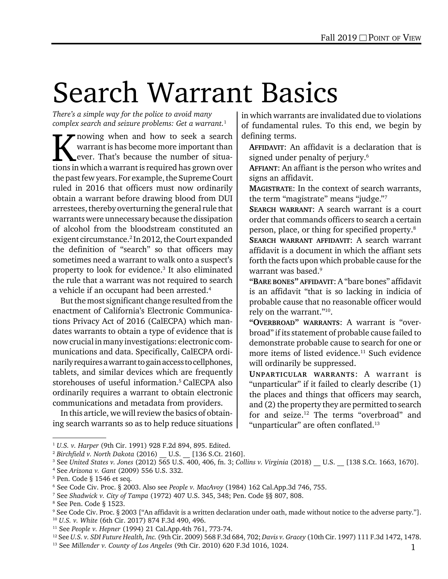# Search Warrant Basics

*There's a simple way for the police to avoid many complex search and seizure problems: Get a warrant.*<sup>1</sup>

K nowing when and how to seek a search<br>warrant is has become more important than<br>ever. That's because the number of situa-<br>tions in which a warrant is required has grown over warrant is has become more important than ever. That's because the number of situations in which a warrant is required has grown over the past few years. For example, the Supreme Court ruled in 2016 that officers must now ordinarily obtain a warrant before drawing blood from DUI arrestees, thereby overturning the general rule that warrants were unnecessary because the dissipation of alcohol from the bloodstream constituted an exigent circumstance.<sup>2</sup> In 2012, the Court expanded the definition of "search" so that officers may sometimes need a warrant to walk onto a suspect's property to look for evidence.<sup>3</sup> It also eliminated the rule that a warrant was not required to search a vehicle if an occupant had been arrested.<sup>4</sup>

But the most significant change resulted from the enactment of California's Electronic Communications Privacy Act of 2016 (CalECPA) which mandates warrants to obtain a type of evidence that is now crucial in many investigations: electronic communications and data. Specifically, CalECPA ordinarily requires a warrant to gain access to cellphones, tablets, and similar devices which are frequently storehouses of useful information.<sup>5</sup> CalECPA also ordinarily requires a warrant to obtain electronic communications and metadata from providers.

In this article, we will review the basics of obtaining search warrants so as to help reduce situations

in which warrants are invalidated due to violations of fundamental rules. To this end, we begin by defining terms.

AFFIDAVIT: An affidavit is a declaration that is signed under penalty of perjury.<sup>6</sup>

AFFIANT: An affiant is the person who writes and signs an affidavit.

MAGISTRATE: In the context of search warrants, the term "magistrate" means "judge."7

SEARCH WARRANT: A search warrant is a court order that commands officers to search a certain person, place, or thing for specified property.8

SEARCH WARRANT AFFIDAVIT: A search warrant affidavit is a document in which the affiant sets forth the facts upon which probable cause for the warrant was based.<sup>9</sup>

"BARE BONES" AFFIDAVIT: A "bare bones" affidavit is an affidavit "that is so lacking in indicia of probable cause that no reasonable officer would rely on the warrant."10.

"OVERBROAD" WARRANTS: A warrant is "overbroad" if its statement of probable cause failed to demonstrate probable cause to search for one or more items of listed evidence.<sup>11</sup> Such evidence will ordinarily be suppressed.

UNPARTICULAR WARRANTS: A warrant is "unparticular" if it failed to clearly describe (1) the places and things that officers may search, and (2) the property they are permitted to search for and seize.<sup>12</sup> The terms "overbroad" and "unparticular" are often conflated.<sup>13</sup>

<sup>1</sup> *U.S. v. Harper* (9th Cir. 1991) 928 F.2d 894, 895. Edited.

<sup>2</sup> *Birchfield v. North Dakota* (2016) \_\_ U.S. \_\_ [136 S.Ct. 2160].

<sup>3</sup> See *United States v. Jones* (2012) 565 U.S. 400, 406, fn. 3; *Collins v. Virginia* (2018) \_\_ U.S. \_\_ [138 S.Ct. 1663, 1670].

<sup>4</sup> See *Arizona v. Gant* (2009) 556 U.S. 332.

<sup>5</sup> Pen. Code § 1546 et seq.

<sup>6</sup> See Code Civ. Proc. § 2003. Also see *People v. MacAvoy* (1984) 162 Cal.App.3d 746, 755.

<sup>7</sup> See *Shadwick v. City of Tampa* (1972) 407 U.S. 345, 348; Pen. Code §§ 807, 808.

<sup>8</sup> See Pen. Code § 1523.

<sup>9</sup> See Code Civ. Proc. § 2003 ["An affidavit is a written declaration under oath, made without notice to the adverse party."]. <sup>10</sup> *U.S. v. White* (6th Cir. 2017) 874 F.3d 490, 496.

<sup>11</sup> See *People v. Hepner* (1994) 21 Cal.App.4th 761, 773-74.

<sup>12</sup> See *U.S. v. SDI Future Health, Inc.* (9th Cir. 2009) 568 F.3d 684, 702; *Davis v. Gracey* (10th Cir. 1997) 111 F.3d 1472, 1478.

<sup>13</sup> See *Millender v. County of Los Angeles* (9th Cir. 2010) 620 F.3d 1016, 1024.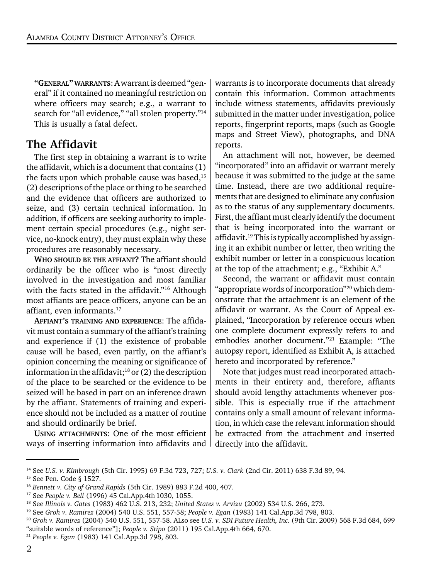"GENERAL" WARRANTS: A warrant is deemed "general" if it contained no meaningful restriction on where officers may search; e.g., a warrant to search for "all evidence," "all stolen property."<sup>14</sup> This is usually a fatal defect.

#### The Affidavit

The first step in obtaining a warrant is to write the affidavit, which is a document that contains (1) the facts upon which probable cause was based, $15$ (2) descriptions of the place or thing to be searched and the evidence that officers are authorized to seize, and (3) certain technical information. In addition, if officers are seeking authority to implement certain special procedures (e.g., night service, no-knock entry), they must explain why these procedures are reasonably necessary.

WHO SHOULD BE THE AFFIANT? The affiant should ordinarily be the officer who is "most directly involved in the investigation and most familiar with the facts stated in the affidavit."<sup>16</sup> Although most affiants are peace officers, anyone can be an affiant, even informants.17

AFFIANT'S TRAINING AND EXPERIENCE: The affidavit must contain a summary of the affiant's training and experience if (1) the existence of probable cause will be based, even partly, on the affiant's opinion concerning the meaning or significance of information in the affidavit;<sup>18</sup> or  $(2)$  the description of the place to be searched or the evidence to be seized will be based in part on an inference drawn by the affiant. Statements of training and experience should not be included as a matter of routine and should ordinarily be brief.

USING ATTACHMENTS: One of the most efficient ways of inserting information into affidavits and warrants is to incorporate documents that already contain this information. Common attachments include witness statements, affidavits previously submitted in the matter under investigation, police reports, fingerprint reports, maps (such as Google maps and Street View), photographs, and DNA reports.

An attachment will not, however, be deemed "incorporated" into an affidavit or warrant merely because it was submitted to the judge at the same time. Instead, there are two additional requirements that are designed to eliminate any confusion as to the status of any supplementary documents. First, the affiant must clearly identify the document that is being incorporated into the warrant or affidavit.<sup>19</sup> This is typically accomplished by assigning it an exhibit number or letter, then writing the exhibit number or letter in a conspicuous location at the top of the attachment; e.g., "Exhibit A."

Second, the warrant or affidavit must contain "appropriate words of incorporation"20 which demonstrate that the attachment is an element of the affidavit or warrant. As the Court of Appeal explained, "Incorporation by reference occurs when one complete document expressly refers to and embodies another document."21 Example: "The autopsy report, identified as Exhibit A, is attached hereto and incorporated by reference."

Note that judges must read incorporated attachments in their entirety and, therefore, affiants should avoid lengthy attachments whenever possible. This is especially true if the attachment contains only a small amount of relevant information, in which case the relevant information should be extracted from the attachment and inserted directly into the affidavit.

<sup>14</sup> See *U.S. v. Kimbrough* (5th Cir. 1995) 69 F.3d 723, 727; *U.S. v. Clark* (2nd Cir. 2011) 638 F.3d 89, 94.

<sup>15</sup> See Pen. Code § 1527.

<sup>16</sup> *Bennett v. City of Grand Rapids* (5th Cir. 1989) 883 F.2d 400, 407.

<sup>17</sup> See *People v. Bell* (1996) 45 Cal.App.4th 1030, 1055.

<sup>18</sup> See *Illinois v. Gates* (1983) 462 U.S. 213, 232; *United States v. Ar*v*izu* (2002) 534 U.S. 266, 273.

<sup>19</sup> See *Groh v. Ramirez* (2004) 540 U.S. 551, 557-58; *People v. Egan* (1983) 141 Cal.App.3d 798, 803.

<sup>20</sup> *Groh v. Ramirez* (2004) 540 U.S. 551, 557-58. ALso see *U.S. v. SDI Future Health, Inc.* (9th Cir. 2009) 568 F.3d 684, 699 "suitable words of reference"]; *People v. Stipo* (2011) 195 Cal.App.4th 664, 670.

<sup>21</sup> *People v. Egan* (1983) 141 Cal.App.3d 798, 803.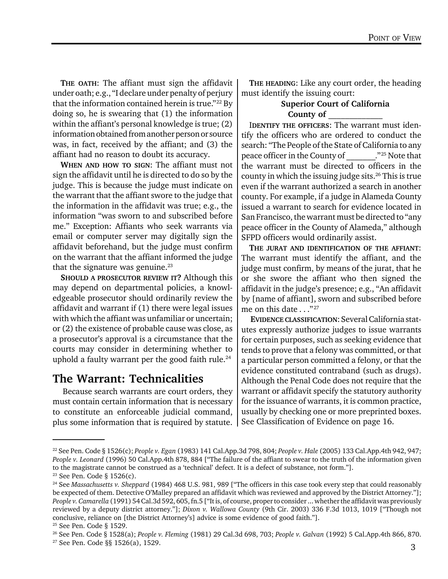THE OATH: The affiant must sign the affidavit under oath; e.g., "I declare under penalty of perjury that the information contained herein is true."<sup>22</sup> By doing so, he is swearing that (1) the information within the affiant's personal knowledge is true; (2) information obtained from another person or source was, in fact, received by the affiant; and (3) the affiant had no reason to doubt its accuracy.

WHEN AND HOW TO SIGN: The affiant must not sign the affidavit until he is directed to do so by the judge. This is because the judge must indicate on the warrant that the affiant swore to the judge that the information in the affidavit was true; e.g., the information "was sworn to and subscribed before me." Exception: Affiants who seek warrants via email or computer server may digitally sign the affidavit beforehand, but the judge must confirm on the warrant that the affiant informed the judge that the signature was genuine. $^{23}$ 

SHOULD A PROSECUTOR REVIEW IT? Although this may depend on departmental policies, a knowledgeable prosecutor should ordinarily review the affidavit and warrant if (1) there were legal issues with which the affiant was unfamiliar or uncertain; or (2) the existence of probable cause was close, as a prosecutor's approval is a circumstance that the courts may consider in determining whether to uphold a faulty warrant per the good faith rule. $24$ 

#### The Warrant: Technicalities

 Because search warrants are court orders, they must contain certain information that is necessary to constitute an enforceable judicial command, plus some information that is required by statute.

THE HEADING: Like any court order, the heading must identify the issuing court:

#### Superior Court of California County of

IDENTIFY THE OFFICERS: The warrant must identify the officers who are ordered to conduct the search: "The People of the State of California to any peace officer in the County of *\_\_\_\_\_\_\_.*"25 Note that the warrant must be directed to officers in the county in which the issuing judge sits.26 This is true even if the warrant authorized a search in another county. For example, if a judge in Alameda County issued a warrant to search for evidence located in San Francisco, the warrant must be directed to "any peace officer in the County of Alameda," although SFPD officers would ordinarily assist.

THE JURAT AND IDENTIFICATION OF THE AFFIANT: The warrant must identify the affiant, and the judge must confirm, by means of the jurat, that he or she swore the affiant who then signed the affidavit in the judge's presence; e.g., "An affidavit by [name of affiant], sworn and subscribed before me on this date . . ."27

EVIDENCE CLASSIFICATION: Several California statutes expressly authorize judges to issue warrants for certain purposes, such as seeking evidence that tends to prove that a felony was committed, or that a particular person committed a felony, or that the evidence constituted contraband (such as drugs). Although the Penal Code does not require that the warrant or affidavit specify the statutory authority for the issuance of warrants, it is common practice, usually by checking one or more preprinted boxes. See Classification of Evidence on page 16.

<sup>22</sup> See Pen. Code § 1526(c); *People v. Egan* (1983) 141 Cal.App.3d 798, 804; *People v. Hale* (2005) 133 Cal.App.4th 942, 947; *People v. Leonard* (1996) 50 Cal.App.4th 878, 884 ["The failure of the affiant to swear to the truth of the information given to the magistrate cannot be construed as a 'technical' defect. It is a defect of substance, not form."].

<sup>23</sup> See Pen. Code § 1526(c).

<sup>24</sup> See *Massachusetts v. Sheppard* (1984) 468 U.S. 981, 989 ["The officers in this case took every step that could reasonably be expected of them. Detective O'Malley prepared an affidavit which was reviewed and approved by the District Attorney."]; *People v. Camarella* (1991) 54 Cal.3d 592, 605, fn.5 ["It is, of course, proper to consider ... whether the affidavit was previously reviewed by a deputy district attorney."]; *Dixon v. Wallowa County* (9th Cir. 2003) 336 F.3d 1013, 1019 ["Though not conclusive, reliance on [the District Attorney's] advice is some evidence of good faith."].

<sup>25</sup> See Pen. Code § 1529.

<sup>26</sup> See Pen. Code § 1528(a); *People v. Fleming* (1981) 29 Cal.3d 698, 703; *People v. Gal*v*an* (1992) 5 Cal.App.4th 866, 870.

<sup>27</sup> See Pen. Code §§ 1526(a), 1529.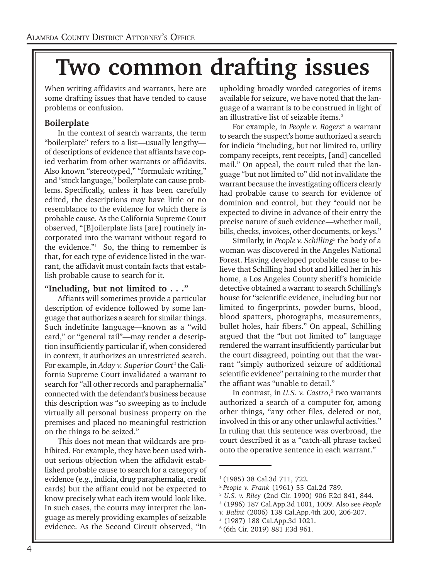### Two common drafting issues

When writing affidavits and warrants, here are some drafting issues that have tended to cause problems or confusion.

#### Boilerplate

Insert Drafting Islam Islam Islam and the politician of descriptions of evidence that affiants have cop-<br>
ied verbatim from other warrants or affidavits. In the context of search warrants, the term "boilerplate" refers to a list—usually lengthy ied verbatim from other warrants or affidavits. Also known "stereotyped," "formulaic writing," and "stock language," boilerplate can cause problems. Specifically, unless it has been carefully edited, the descriptions may have little or no resemblance to the evidence for which there is probable cause. As the California Supreme Court observed, "[B]oilerplate lists [are] routinely incorporated into the warrant without regard to the evidence." $\frac{1}{1}$  So, the thing to remember is that, for each type of evidence listed in the warrant, the affidavit must contain facts that establish probable cause to search for it.

#### "Including, but not limited to . . ."

Affiants will sometimes provide a particular description of evidence followed by some language that authorizes a search for similar things. Such indefinite language—known as a "wild card," or "general tail"—may render a description insufficiently particular if, when considered in context, it authorizes an unrestricted search. For example, in *Aday v. Superior Court*<sup>2</sup> the California Supreme Court invalidated a warrant to search for "all other records and paraphernalia" connected with the defendant's business because this description was "so sweeping as to include virtually all personal business property on the premises and placed no meaningful restriction on the things to be seized."

This does not mean that wildcards are prohibited. For example, they have been used without serious objection when the affidavit established probable cause to search for a category of evidence (e.g., indicia, drug paraphernalia, credit cards) but the affiant could not be expected to know precisely what each item would look like. In such cases, the courts may interpret the language as merely providing examples of seizable evidence. As the Second Circuit observed, "In upholding broadly worded categories of items available for seizure, we have noted that the language of a warrant is to be construed in light of an illustrative list of seizable items.<sup>3</sup>

For example, in *People v. Rogers*<sup>4</sup> a warrant to search the suspect's home authorized a search for indicia "including, but not limited to, utility company receipts, rent receipts, [and] cancelled mail." On appeal, the court ruled that the language "but not limited to" did not invalidate the warrant because the investigating officers clearly had probable cause to search for evidence of dominion and control, but they "could not be expected to divine in advance of their entry the precise nature of such evidence—whether mail, bills, checks, invoices, other documents, or keys."

Similarly, in *People v. Schilling*<sup>5</sup> the body of a woman was discovered in the Angeles National Forest. Having developed probable cause to believe that Schilling had shot and killed her in his home, a Los Angeles County sheriff's homicide detective obtained a warrant to search Schilling's house for "scientific evidence, including but not limited to fingerprints, powder burns, blood, blood spatters, photographs, measurements, bullet holes, hair fibers." On appeal, Schilling argued that the "but not limited to" language rendered the warrant insufficiently particular but the court disagreed, pointing out that the warrant "simply authorized seizure of additional scientific evidence" pertaining to the murder that the affiant was "unable to detail."

In contrast, in *U.S. v. Castro*, 6 two warrants authorized a search of a computer for, among other things, "any other files, deleted or not, involved in this or any other unlawful activities." In ruling that this sentence was overbroad, the court described it as a "catch-all phrase tacked onto the operative sentence in each warrant."

- 4 (1986) 187 Cal.App.3d 1001, 1009. Also see *People*
- *v. Balint* (2006) 138 Cal.App.4th 200, 206-207.
- 5 (1987) 188 Cal.App.3d 1021.
- 6 (6th Cir. 2019) 881 F.3d 961.

<sup>&</sup>lt;sup>1</sup> (1985) 38 Cal.3d 711, 722.

<sup>2</sup>*People v. Frank* (1961) 55 Cal.2d 789.

<sup>3</sup>  *U.S. v. Riley* (2nd Cir. 1990) 906 F.2d 841, 844.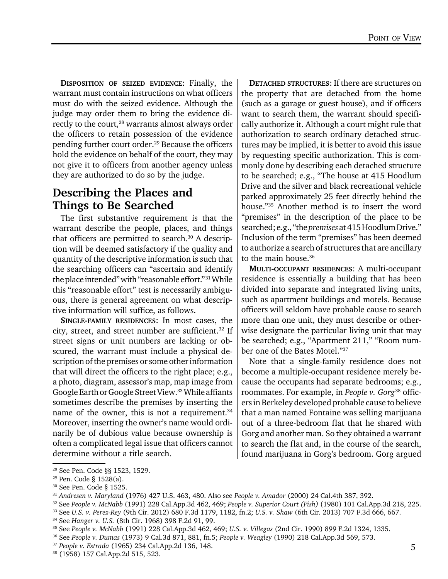DISPOSITION OF SEIZED EVIDENCE: Finally, the warrant must contain instructions on what officers must do with the seized evidence. Although the judge may order them to bring the evidence directly to the court,<sup>28</sup> warrants almost always order the officers to retain possession of the evidence pending further court order.29 Because the officers hold the evidence on behalf of the court, they may not give it to officers from another agency unless they are authorized to do so by the judge.

#### Describing the Places and Things to Be Searched

The first substantive requirement is that the warrant describe the people, places, and things that officers are permitted to search.<sup>30</sup> A description will be deemed satisfactory if the quality and quantity of the descriptive information is such that the searching officers can "ascertain and identify the place intended" with "reasonable effort."31 While this "reasonable effort" test is necessarily ambiguous, there is general agreement on what descriptive information will suffice, as follows.

SINGLE-FAMILY RESIDENCES: In most cases, the city, street, and street number are sufficient.32 If street signs or unit numbers are lacking or obscured, the warrant must include a physical description of the premises or some other information that will direct the officers to the right place; e.g., a photo, diagram, assessor's map, map image from Google Earth or Google Street View.33 While affiants sometimes describe the premises by inserting the name of the owner, this is not a requirement.<sup>34</sup> Moreover, inserting the owner's name would ordinarily be of dubious value because ownership is often a complicated legal issue that officers cannot determine without a title search.

DETACHED STRUCTURES: If there are structures on the property that are detached from the home (such as a garage or guest house), and if officers want to search them, the warrant should specifically authorize it. Although a court might rule that authorization to search ordinary detached structures may be implied, it is better to avoid this issue by requesting specific authorization. This is commonly done by describing each detached structure to be searched; e.g., "The house at 415 Hoodlum Drive and the silver and black recreational vehicle parked approximately 25 feet directly behind the house."35 Another method is to insert the word "premises" in the description of the place to be searched; e.g., "the *premises* at 415 Hoodlum Drive." Inclusion of the term "premises" has been deemed to authorize a search of structures that are ancillary to the main house.<sup>36</sup>

MULTI-OCCUPANT RESIDENCES: A multi-occupant residence is essentially a building that has been divided into separate and integrated living units, such as apartment buildings and motels. Because officers will seldom have probable cause to search more than one unit, they must describe or otherwise designate the particular living unit that may be searched; e.g., "Apartment 211," "Room number one of the Bates Motel."37

Note that a single-family residence does not become a multiple-occupant residence merely because the occupants had separate bedrooms; e.g., roommates. For example, in *People v. Gorg*38 officers in Berkeley developed probable cause to believe that a man named Fontaine was selling marijuana out of a three-bedroom flat that he shared with Gorg and another man. So they obtained a warrant to search the flat and, in the course of the search, found marijuana in Gorg's bedroom. Gorg argued

<sup>28</sup> See Pen. Code §§ 1523, 1529.

<sup>29</sup> Pen. Code § 1528(a).

<sup>30</sup> See Pen. Code § 1525.

<sup>31</sup> *Andresen v. Maryland* (1976) 427 U.S. 463, 480. Also see *People v. Amador* (2000) 24 Cal.4th 387, 392.

<sup>32</sup> See *People v. McNabb* (1991) 228 Cal.App.3d 462, 469; *People v. Superior Court (Fish)* (1980) 101 Cal.App.3d 218, 225.

<sup>33</sup> See *U.S. v. Perez-Rey* (9th Cir. 2012) 680 F.3d 1179, 1182, fn.2; *U.S. v. Shaw* (6th Cir. 2013) 707 F.3d 666, 667.

<sup>34</sup> See *Hanger v. U.S.* (8th Cir. 1968) 398 F.2d 91, 99.

<sup>35</sup> See *People v. McNabb* (1991) 228 Cal.App.3d 462, 469; *U.S. v. Villegas* (2nd Cir. 1990) 899 F.2d 1324, 1335.

<sup>36</sup> See *People v. Dumas* (1973) 9 Cal.3d 871, 881, fn.5; *People v. Weagley* (1990) 218 Cal.App.3d 569, 573.

<sup>37</sup> *People v. Estrada* (1965) 234 Cal.App.2d 136, 148.

<sup>38 (1958) 157</sup> Cal.App.2d 515, 523.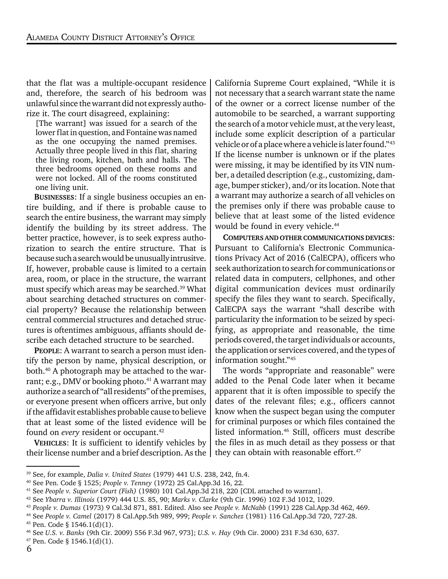that the flat was a multiple-occupant residence and, therefore, the search of his bedroom was unlawful since the warrant did not expressly authorize it. The court disagreed, explaining:

[The warrant] was issued for a search of the lower flat in question, and Fontaine was named as the one occupying the named premises. Actually three people lived in this flat, sharing the living room, kitchen, bath and halls. The three bedrooms opened on these rooms and were not locked. All of the rooms constituted one living unit.

BUSINESSES: If a single business occupies an entire building, and if there is probable cause to search the entire business, the warrant may simply identify the building by its street address. The better practice, however, is to seek express authorization to search the entire structure. That is because such a search would be unusually intrusitve. If, however, probable cause is limited to a certain area, room, or place in the structure, the warrant must specify which areas may be searched.<sup>39</sup> What about searching detached structures on commercial property? Because the relationship between central commercial structures and detached structures is oftentimes ambiguous, affiants should describe each detached structure to be searched.

PEOPLE: A warrant to search a person must identify the person by name, physical description, or both.40 A photograph may be attached to the warrant; e.g., DMV or booking photo. $41$  A warrant may authorize a search of "all residents" of the premises, or everyone present when officers arrive, but only if the affidavit establishes probable cause to believe that at least some of the listed evidence will be found on *every* resident or occupant.<sup>42</sup>

VEHICLES: It is sufficient to identify vehicles by their license number and a brief description. As the

California Supreme Court explained, "While it is not necessary that a search warrant state the name of the owner or a correct license number of the automobile to be searched, a warrant supporting the search of a motor vehicle must, at the very least, include some explicit description of a particular vehicle or of a place where a vehicle is later found."43 If the license number is unknown or if the plates were missing, it may be identified by its VIN number, a detailed description (e.g., customizing, damage, bumper sticker), and/or its location. Note that a warrant may authorize a search of all vehicles on the premises only if there was probable cause to believe that at least some of the listed evidence would be found in every vehicle.<sup>44</sup>

COMPUTERS AND OTHER COMMUNICATIONS DEVICES: Pursuant to California's Electronic Communications Privacy Act of 2016 (CalECPA), officers who seek authorization to search for communications or related data in computers, cellphones, and other digital communication devices must ordinarily specify the files they want to search. Specifically, CalECPA says the warrant "shall describe with particularity the information to be seized by specifying, as appropriate and reasonable, the time periods covered, the target individuals or accounts, the application or services covered, and the types of information sought."45

The words "appropriate and reasonable" were added to the Penal Code later when it became apparent that it is often impossible to specify the dates of the relevant files; e.g., officers cannot know when the suspect began using the computer for criminal purposes or which files contained the listed information.<sup>46</sup> Still, officers must describe the files in as much detail as they possess or that they can obtain with reasonable effort.<sup>47</sup>

<sup>39</sup> See, for example, *Dalia v. United States* (1979) 441 U.S. 238, 242, fn.4.

<sup>40</sup> See Pen. Code § 1525; *People v. Tenney* (1972) 25 Cal.App.3d 16, 22.

<sup>41</sup> See *People v. Superior Court (Fish)* (1980) 101 Cal.App.3d 218, 220 [CDL attached to warrant].

<sup>42</sup> See *Ybarra v. Illinois* (1979) 444 U.S. 85, 90; *Marks v. Clarke* (9th Cir. 1996) 102 F.3d 1012, 1029.

<sup>43</sup> *People v. Dumas* (1973) 9 Cal.3d 871, 881. Edited. Also see *People v. McNabb* (1991) 228 Cal.App.3d 462, 469.

<sup>44</sup> See *People v. Camel* (2017) 8 Cal.App.5th 989, 999; *People v. Sanchez* (1981) 116 Cal.App.3d 720, 727-28.  $45$  Pen. Code § 1546.1(d)(1).

<sup>46</sup> See *U.S. v. Banks* (9th Cir. 2009) 556 F.3d 967, 973]; *U.S. v. Hay* (9th Cir. 2000) 231 F.3d 630, 637.

 $47$  Pen. Code § 1546.1(d)(1).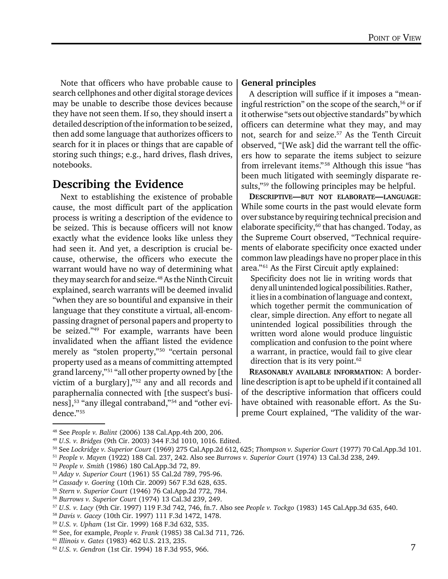Note that officers who have probable cause to search cellphones and other digital storage devices may be unable to describe those devices because they have not seen them. If so, they should insert a detailed description of the information to be seized, then add some language that authorizes officers to search for it in places or things that are capable of storing such things; e.g., hard drives, flash drives, notebooks.

#### Describing the Evidence

Next to establishing the existence of probable cause, the most difficult part of the application process is writing a description of the evidence to be seized. This is because officers will not know exactly what the evidence looks like unless they had seen it. And yet, a description is crucial because, otherwise, the officers who execute the warrant would have no way of determining what they may search for and seize.<sup>48</sup> As the Ninth Circuit explained, search warrants will be deemed invalid "when they are so bountiful and expansive in their language that they constitute a virtual, all-encompassing dragnet of personal papers and property to be seized."49 For example, warrants have been invalidated when the affiant listed the evidence merely as "stolen property,"50 "certain personal property used as a means of committing attempted grand larceny,"51 "all other property owned by [the victim of a burglary],"52 any and all records and paraphernalia connected with [the suspect's business],53 "any illegal contraband,"54 and "other evidence."55

#### General principles

A description will suffice if it imposes a "meaningful restriction" on the scope of the search,  $56$  or if it otherwise "sets out objective standards" by which officers can determine what they may, and may not, search for and seize.<sup>57</sup> As the Tenth Circuit observed, "[We ask] did the warrant tell the officers how to separate the items subject to seizure from irrelevant items." 58 Although this issue "has been much litigated with seemingly disparate results,"<sup>59</sup> the following principles may be helpful.

DESCRIPTIVE—BUT NOT ELABORATE—LANGUAGE: While some courts in the past would elevate form over substance by requiring technical precision and elaborate specificity, $60$  that has changed. Today, as the Supreme Court observed, "Technical requirements of elaborate specificity once exacted under common law pleadings have no proper place in this area."61 As the First Circuit aptly explained:

Specificity does not lie in writing words that deny all unintended logical possibilities. Rather, it lies in a combination of language and context, which together permit the communication of clear, simple direction. Any effort to negate all unintended logical possibilities through the written word alone would produce linguistic complication and confusion to the point where a warrant, in practice, would fail to give clear direction that is its very point. $62$ 

REASONABLY AVAILABLE INFORMATION: A borderline description is apt to be upheld if it contained all of the descriptive information that officers could have obtained with reasonable effort. As the Supreme Court explained, "The validity of the war-

<sup>48</sup> See *People v. Balint* (2006) 138 Cal.App.4th 200, 206.

<sup>49</sup> *U.S. v. Bridges* (9th Cir. 2003) 344 F.3d 1010, 1016. Edited.

<sup>50</sup> See *Lockridge v. Superior Court* (1969) 275 Cal.App.2d 612, 625; *Thompson v. Superior Court* (1977) 70 Cal.App.3d 101.

<sup>51</sup> *People v. Mayen* (1922) 188 Cal. 237, 242. Also see *Burrows v. Superior Court* (1974) 13 Cal.3d 238, 249.

<sup>52</sup> *People v. Smith* (1986) 180 Cal.App.3d 72, 89.

<sup>53</sup> *Aday v. Superior Court* (1961) 55 Cal.2d 789, 795-96.

<sup>54</sup> *Cassady v. Goering* (10th Cir. 2009) 567 F.3d 628, 635.

<sup>55</sup> *Stern v. Superior Court* (1946) 76 Cal.App.2d 772, 784.

<sup>56</sup> *Burrows v. Superior Court* (1974) 13 Cal.3d 239, 249.

<sup>57</sup> *U.S. v. Lacy* (9th Cir. 1997) 119 F.3d 742, 746, fn.7. Also see *People v. Tockgo* (1983) 145 Cal.App.3d 635, 640.

<sup>58</sup> *Davis v. Gacey* (10th Cir. 1997) 111 F.3d 1472, 1478.

<sup>59</sup> *U.S. v. Upham* (1st Cir. 1999) 168 F.3d 632, 535.

<sup>60</sup> See, for example, *People v. Frank* (1985) 38 Cal.3d 711, 726.

<sup>61</sup> *Illinois v. Gates* (1983) 462 U.S. 213, 235.

<sup>62</sup> *U.S. v. Gendron* (1st Cir. 1994) 18 F.3d 955, 966.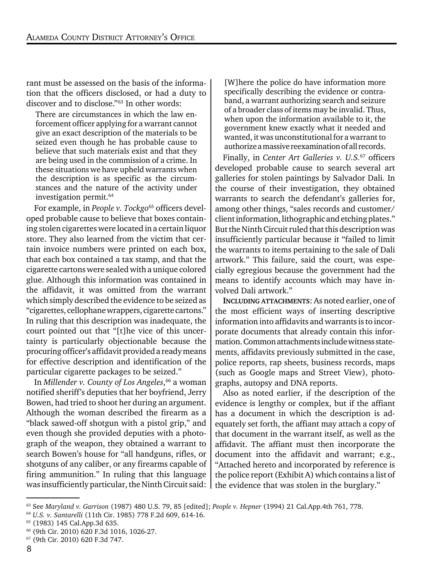rant must be assessed on the basis of the information that the officers disclosed, or had a duty to discover and to disclose."63 In other words:

There are circumstances in which the law enforcement officer applying for a warrant cannot give an exact description of the materials to be seized even though he has probable cause to believe that such materials exist and that they are being used in the commission of a crime. In these situations we have upheld warrants when the description is as specific as the circumstances and the nature of the activity under investigation permit.<sup>64</sup>

For example, in *People v. Tockgo*<sup>65</sup> officers developed probable cause to believe that boxes containing stolen cigarettes were located in a certain liquor store. They also learned from the victim that certain invoice numbers were printed on each box, that each box contained a tax stamp, and that the cigarette cartons were sealed with a unique colored glue. Although this information was contained in the affidavit, it was omitted from the warrant which simply described the evidence to be seized as "cigarettes, cellophane wrappers, cigarette cartons." In ruling that this description was inadequate, the court pointed out that "[t]he vice of this uncertainty is particularly objectionable because the procuring officer's affidavit provided a ready means for effective description and identification of the particular cigarette packages to be seized."

In *Millender v. County of Los Angeles*, 66 a woman notified sheriff's deputies that her boyfriend, Jerry Bowen, had tried to shoot her during an argument. Although the woman described the firearm as a "black sawed-off shotgun with a pistol grip," and even though she provided deputies with a photograph of the weapon, they obtained a warrant to search Bowen's house for "all handguns, rifles, or shotguns of any caliber, or any firearms capable of firing ammunition." In ruling that this language was insufficiently particular, the Ninth Circuit said: [W]here the police do have information more specifically describing the evidence or contraband, a warrant authorizing search and seizure of a broader class of items may be invalid. Thus, when upon the information available to it, the government knew exactly what it needed and wanted, it was unconstitutional for a warrant to authorize a massive reexamination of all records.

Finally, in *Center Art Galleries v. U.S.*67 officers developed probable cause to search several art galleries for stolen paintings by Salvador Dali. In the course of their investigation, they obtained warrants to search the defendant's galleries for, among other things, "sales records and customer/ client information, lithographic and etching plates." But the Ninth Circuit ruled that this description was insufficiently particular because it "failed to limit the warrants to items pertaining to the sale of Dali artwork." This failure, said the court, was especially egregious because the government had the means to identify accounts which may have involved Dali artwork."

INCLUDING ATTACHMENTS: As noted earlier, one of the most efficient ways of inserting descriptive information into affidavits and warrants is to incorporate documents that already contain this information. Common attachments include witness statements, affidavits previously submitted in the case, police reports, rap sheets, business records, maps (such as Google maps and Street View), photographs, autopsy and DNA reports.

Also as noted earlier, if the description of the evidence is lengthy or complex, but if the affiant has a document in which the description is adequately set forth, the affiant may attach a copy of that document in the warrant itself, as well as the affidavit. The affiant must then incorporate the document into the affidavit and warrant; e.g., "Attached hereto and incorporated by reference is the police report (Exhibit A) which contains a list of the evidence that was stolen in the burglary."

<sup>63</sup> See *Maryland v. Garrison* (1987) 480 U.S. 79, 85 [edited]; *People v. Hepner* (1994) 21 Cal.App.4th 761, 778.

<sup>64</sup> *U.S. v. Santarelli* (11th Cir. 1985) 778 F.2d 609, 614-16.

<sup>65 (1983) 145</sup> Cal.App.3d 635.

<sup>66 (9</sup>th Cir. 2010) 620 F.3d 1016, 1026-27.

<sup>67 (9</sup>th Cir. 2010) 620 F.3d 747.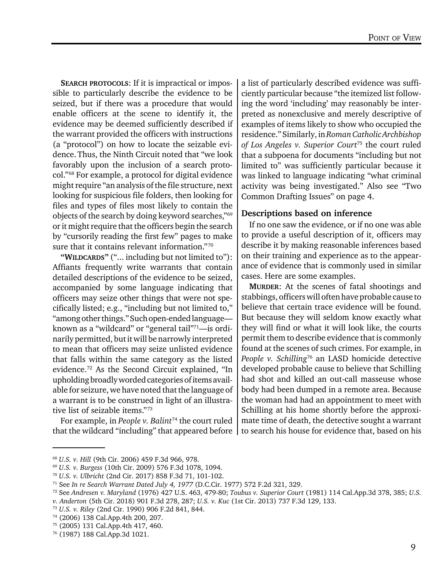SEARCH PROTOCOLS: If it is impractical or impossible to particularly describe the evidence to be seized, but if there was a procedure that would enable officers at the scene to identify it, the evidence may be deemed sufficiently described if the warrant provided the officers with instructions (a "protocol") on how to locate the seizable evidence.Thus, the Ninth Circuit noted that "we look favorably upon the inclusion of a search protocol."68 For example, a protocol for digital evidence might require "an analysis of the file structure, next looking for suspicious file folders, then looking for files and types of files most likely to contain the objects of the search by doing keyword searches,"69 or it might require that the officers begin the search by "cursorily reading the first few" pages to make sure that it contains relevant information."70

"WILDCARDS" ("... including but not limited to"): Affiants frequently write warrants that contain detailed descriptions of the evidence to be seized, accompanied by some language indicating that officers may seize other things that were not specifically listed; e.g., "including but not limited to," "among other things." Such open-ended language known as a "wildcard" or "general tail"71—is ordinarily permitted, but it will be narrowly interpreted to mean that officers may seize unlisted evidence that falls within the same category as the listed evidence.72 As the Second Circuit explained, "In upholding broadly worded categories of items available for seizure, we have noted that the language of a warrant is to be construed in light of an illustrative list of seizable items."73

For example, in *People v. Balint*<sup>74</sup> the court ruled that the wildcard "including" that appeared before

a list of particularly described evidence was sufficiently particular because "the itemized list following the word 'including' may reasonably be interpreted as nonexclusive and merely descriptive of examples of items likely to show who occupied the residence." Similarly, in *Roman Catholic Archbishop of Los Angeles v. Superior Court*<sup>75</sup> the court ruled that a subpoena for documents "including but not limited to" was sufficiently particular because it was linked to language indicating "what criminal activity was being investigated." Also see "Two Common Drafting Issues" on page 4.

#### Descriptions based on inference

If no one saw the evidence, or if no one was able to provide a useful description of it, officers may describe it by making reasonable inferences based on their training and experience as to the appearance of evidence that is commonly used in similar cases. Here are some examples.

MURDER: At the scenes of fatal shootings and stabbings, officers will often have probable cause to believe that certain trace evidence will be found. But because they will seldom know exactly what they will find or what it will look like, the courts permit them to describe evidence that is commonly found at the scenes of such crimes. For example, in *People v. Schilling*76 an LASD homicide detective developed probable cause to believe that Schilling had shot and killed an out-call masseuse whose body had been dumped in a remote area. Because the woman had had an appointment to meet with Schilling at his home shortly before the approximate time of death, the detective sought a warrant to search his house for evidence that, based on his

<sup>68</sup> *U.S. v. Hill* (9th Cir. 2006) 459 F.3d 966, 978.

<sup>69</sup> *U.S. v. Burgess* (10th Cir. 2009) 576 F.3d 1078, 1094.

<sup>70</sup> *U.S. v. Ulbricht* (2nd Cir. 2017) 858 F.3d 71, 101-102.

<sup>71</sup> See *In re Search Warrant Dated July 4, 1977* (D.C.Cir. 1977) 572 F.2d 321, 329.

<sup>72</sup> See *Andresen v. Maryland* (1976) 427 U.S. 463, 479-80; *Toubus v. Superior Court* (1981) 114 Cal.App.3d 378, 385; *U.S.*

*v. Anderton* (5th Cir. 2018) 901 F.3d 278, 287; *U.S. v. Kuc* (1st Cir. 2013) 737 F.3d 129, 133.

<sup>73</sup> *U.S. v. Riley* (2nd Cir. 1990) 906 F.2d 841, 844.

<sup>74 (2006) 138</sup> Cal.App.4th 200, 207.

<sup>75 (2005) 131</sup> Cal.App.4th 417, 460.

<sup>76 (1987) 188</sup> Cal.App.3d 1021.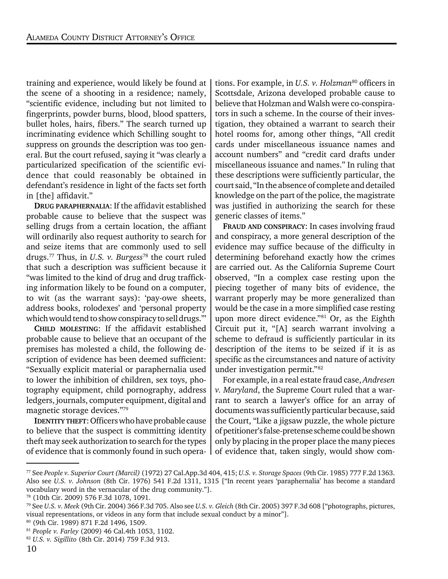training and experience, would likely be found at the scene of a shooting in a residence; namely, "scientific evidence, including but not limited to fingerprints, powder burns, blood, blood spatters, bullet holes, hairs, fibers." The search turned up incriminating evidence which Schilling sought to suppress on grounds the description was too general. But the court refused, saying it "was clearly a particularized specification of the scientific evidence that could reasonably be obtained in defendant's residence in light of the facts set forth in [the] affidavit."

DRUG PARAPHERNALIA: If the affidavit established probable cause to believe that the suspect was selling drugs from a certain location, the affiant will ordinarily also request authority to search for and seize items that are commonly used to sell drugs.77 Thus, in *U.S. v. Burgess*78 the court ruled that such a description was sufficient because it "was limited to the kind of drug and drug trafficking information likely to be found on a computer, to wit (as the warrant says): 'pay-owe sheets, address books, rolodexes' and 'personal property which would tend to show conspiracy to sell drugs.'"

CHILD MOLESTING: If the affidavit established probable cause to believe that an occupant of the premises has molested a child, the following description of evidence has been deemed sufficient: "Sexually explicit material or paraphernalia used to lower the inhibition of children, sex toys, photography equipment, child pornography, address ledgers, journals, computer equipment, digital and magnetic storage devices."79

IDENTITY THEFT: Officers who have probable cause to believe that the suspect is committing identity theft may seek authorization to search for the types of evidence that is commonly found in such opera-

tions. For example, in *U.S. v. Holzman*<sup>80</sup> officers in Scottsdale, Arizona developed probable cause to believe that Holzman and Walsh were co-conspirators in such a scheme. In the course of their investigation, they obtained a warrant to search their hotel rooms for, among other things, "All credit cards under miscellaneous issuance names and account numbers" and "credit card drafts under miscellaneous issuance and names." In ruling that these descriptions were sufficiently particular, the court said, "In the absence of complete and detailed knowledge on the part of the police, the magistrate was justified in authorizing the search for these generic classes of items."

FRAUD AND CONSPIRACY: In cases involving fraud and conspiracy, a more general description of the evidence may suffice because of the difficulty in determining beforehand exactly how the crimes are carried out. As the California Supreme Court observed, "In a complex case resting upon the piecing together of many bits of evidence, the warrant properly may be more generalized than would be the case in a more simplified case resting upon more direct evidence."<sup>81</sup> Or, as the Eighth Circuit put it, "[A] search warrant involving a scheme to defraud is sufficiently particular in its description of the items to be seized if it is as specific as the circumstances and nature of activity under investigation permit."82

For example, in a real estate fraud case, *Andresen v. Maryland*, the Supreme Court ruled that a warrant to search a lawyer's office for an array of documents was sufficiently particular because, said the Court, "Like a jigsaw puzzle, the whole picture of petitioner's false-pretense scheme could be shown only by placing in the proper place the many pieces of evidence that, taken singly, would show com-

<sup>77</sup> See *People v. Superior Court (Marcil)* (1972) 27 Cal.App.3d 404, 415; *U.S. v. Storage Spaces* (9th Cir. 1985) 777 F.2d 1363. Also see *U.S. v. Johnson* (8th Cir. 1976) 541 F.2d 1311, 1315 ["In recent years 'paraphernalia' has become a standard vocabulary word in the vernacular of the drug community."].

<sup>78 (10</sup>th Cir. 2009) 576 F.3d 1078, 1091.

<sup>79</sup> See *U.S. v. Meek* (9th Cir. 2004) 366 F.3d 705. Also see *U.S. v. Gleich* (8th Cir. 2005) 397 F.3d 608 ["photographs, pictures, visual representations, or videos in any form that include sexual conduct by a minor"].

<sup>80 (9</sup>th Cir. 1989) 871 F.2d 1496, 1509.

<sup>81</sup> *People v. Farley* (2009) 46 Cal.4th 1053, 1102.

<sup>82</sup> *U.S. v. Sigillito* (8th Cir. 2014) 759 F.3d 913.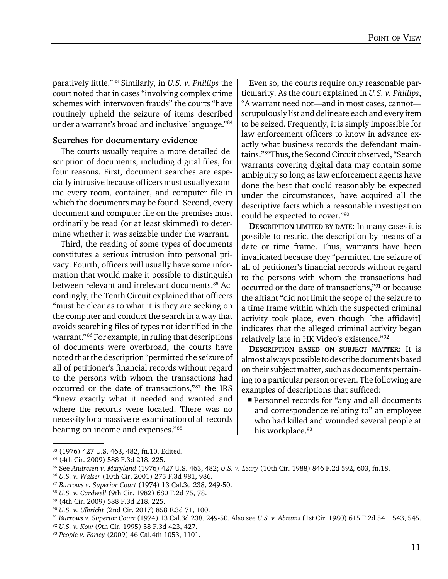paratively little."83 Similarly, in *U.S. v. Phillips* the court noted that in cases "involving complex crime schemes with interwoven frauds" the courts "have routinely upheld the seizure of items described under a warrant's broad and inclusive language."84

#### Searches for documentary evidence

The courts usually require a more detailed description of documents, including digital files, for four reasons. First, document searches are especially intrusive because officers must usually examine every room, container, and computer file in which the documents may be found. Second, every document and computer file on the premises must ordinarily be read (or at least skimmed) to determine whether it was seizable under the warrant.

Third, the reading of some types of documents constitutes a serious intrusion into personal privacy. Fourth, officers will usually have some information that would make it possible to distinguish between relevant and irrelevant documents.<sup>85</sup> Accordingly, the Tenth Circuit explained that officers "must be clear as to what it is they are seeking on the computer and conduct the search in a way that avoids searching files of types not identified in the warrant."86 For example, in ruling that descriptions of documents were overbroad, the courts have noted that the description "permitted the seizure of all of petitioner's financial records without regard to the persons with whom the transactions had occurred or the date of transactions,"87 the IRS "knew exactly what it needed and wanted and where the records were located. There was no necessity for a massive re-examination of all records bearing on income and expenses."88

Even so, the courts require only reasonable particularity. As the court explained in *U.S. v. Phillips*, "A warrant need not—and in most cases, cannot scrupulously list and delineate each and every item to be seized. Frequently, it is simply impossible for law enforcement officers to know in advance exactly what business records the defendant maintains."89 Thus, the Second Circuit observed, "Search warrants covering digital data may contain some ambiguity so long as law enforcement agents have done the best that could reasonably be expected under the circumstances, have acquired all the descriptive facts which a reasonable investigation could be expected to cover."90

DESCRIPTION LIMITED BY DATE: In many cases it is possible to restrict the description by means of a date or time frame. Thus, warrants have been invalidated because they "permitted the seizure of all of petitioner's financial records without regard to the persons with whom the transactions had occurred or the date of transactions,"91 or because the affiant "did not limit the scope of the seizure to a time frame within which the suspected criminal activity took place, even though [the affidavit] indicates that the alleged criminal activity began relatively late in HK Video's existence."92

DESCRIPTION BASED ON SUBJECT MATTER: It is almost always possible to describe documents based on their subject matter, such as documents pertaining to a particular person or even. The following are examples of descriptions that sufficed:

 Personnel records for "any and all documents and correspondence relating to" an employee who had killed and wounded several people at his workplace.<sup>93</sup>

<sup>83 (1976) 427</sup> U.S. 463, 482, fn.10. Edited.

<sup>84 (4</sup>th Cir. 2009) 588 F.3d 218, 225.

<sup>85</sup> See *Andresen v. Maryland* (1976) 427 U.S. 463, 482; *U.S. v. Leary* (10th Cir. 1988) 846 F.2d 592, 603, fn.18.

<sup>86</sup> *U.S. v. Walser* (10th Cir. 2001) 275 F.3d 981, 986.

<sup>87</sup> *Burrows v. Superior Court* (1974) 13 Cal.3d 238, 249-50.

<sup>88</sup> *U.S. v. Cardwell* (9th Cir. 1982) 680 F.2d 75, 78.

<sup>89 (4</sup>th Cir. 2009) 588 F.3d 218, 225.

<sup>90</sup> *U.S. v. Ulbricht* (2nd Cir. 2017) 858 F.3d 71, 100.

<sup>91</sup> *Burrows v. Superior Court* (1974) 13 Cal.3d 238, 249-50. Also see *U.S. v. Abrams* (1st Cir. 1980) 615 F.2d 541, 543, 545.

<sup>92</sup> *U.S. v. Kow* (9th Cir. 1995) 58 F.3d 423, 427.

<sup>93</sup> *People v. Farley* (2009) 46 Cal.4th 1053, 1101.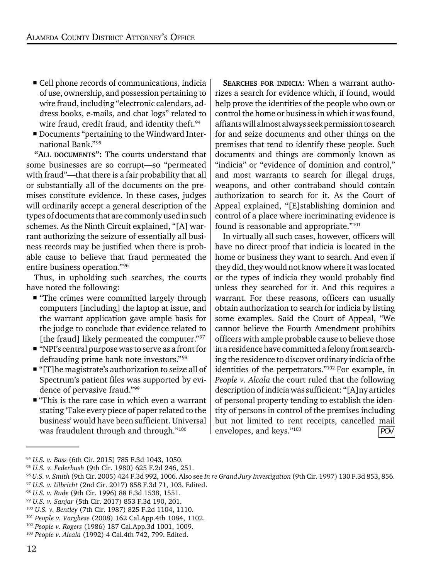- Cell phone records of communications, indicia of use, ownership, and possession pertaining to wire fraud, including "electronic calendars, address books, e-mails, and chat logs" related to wire fraud, credit fraud, and identity theft.<sup>94</sup>
- Documents "pertaining to the Windward International Bank."95

"ALL DOCUMENTS": The courts understand that some businesses are so corrupt—so "permeated with fraud"—that there is a fair probability that all or substantially all of the documents on the premises constitute evidence. In these cases, judges will ordinarily accept a general description of the types of documents that are commonly used in such schemes. As the Ninth Circuit explained, "[A] warrant authorizing the seizure of essentially all business records may be justified when there is probable cause to believe that fraud permeated the entire business operation."96

Thus, in upholding such searches, the courts have noted the following:

- "The crimes were committed largely through computers [including] the laptop at issue, and the warrant application gave ample basis for the judge to conclude that evidence related to [the fraud] likely permeated the computer."97
- "NPI's central purpose was to serve as a front for defrauding prime bank note investors."98
- "[T]he magistrate's authorization to seize all of Spectrum's patient files was supported by evidence of pervasive fraud."99
- "This is the rare case in which even a warrant stating 'Take every piece of paper related to the business' would have been sufficient. Universal was fraudulent through and through."100

SEARCHES FOR INDICIA: When a warrant authorizes a search for evidence which, if found, would help prove the identities of the people who own or control the home or business in which it was found, affiants will almost always seek permission to search for and seize documents and other things on the premises that tend to identify these people. Such documents and things are commonly known as "indicia" or "evidence of dominion and control," and most warrants to search for illegal drugs, weapons, and other contraband should contain authorization to search for it. As the Court of Appeal explained, "[E]stablishing dominion and control of a place where incriminating evidence is found is reasonable and appropriate."101

In virtually all such cases, however, officers will have no direct proof that indicia is located in the home or business they want to search. And even if they did, they would not know where it was located or the types of indicia they would probably find unless they searched for it. And this requires a warrant. For these reasons, officers can usually obtain authorization to search for indicia by listing some examples. Said the Court of Appeal, "We cannot believe the Fourth Amendment prohibits officers with ample probable cause to believe those in a residence have committed a felony from searching the residence to discover ordinary indicia of the identities of the perpetrators."102 For example, in *People v. Alcala* the court ruled that the following description of indicia was sufficient: "[A]ny articles of personal property tending to establish the identity of persons in control of the premises including but not limited to rent receipts, cancelled mail envelopes, and keys."103 POV

<sup>94</sup> *U.S. v. Bass* (6th Cir. 2015) 785 F.3d 1043, 1050.

<sup>95</sup> *U.S. v. Federbush* (9th Cir. 1980) 625 F.2d 246, 251.

<sup>96</sup> *U.S. v. Smith* (9th Cir. 2005) 424 F.3d 992, 1006. Also see *In re Grand Jury In*v*estigation* (9th Cir. 1997) 130 F.3d 853, 856.

<sup>97</sup> *U.S. v. Ulbricht* (2nd Cir. 2017) 858 F.3d 71, 103. Edited.

<sup>98</sup> *U.S. v. Rude* (9th Cir. 1996) 88 F.3d 1538, 1551.

<sup>99</sup> *U.S. v. Sanjar* (5th Cir. 2017) 853 F.3d 190, 201.

<sup>100</sup> *U.S. v. Bentley* (7th Cir. 1987) 825 F.2d 1104, 1110.

<sup>101</sup> *People v. Varghese* (2008) 162 Cal.App.4th 1084, 1102.

<sup>102</sup> *People v. Rogers* (1986) 187 Cal.App.3d 1001, 1009.

<sup>103</sup> *People v. Alcala* (1992) 4 Cal.4th 742, 799. Edited.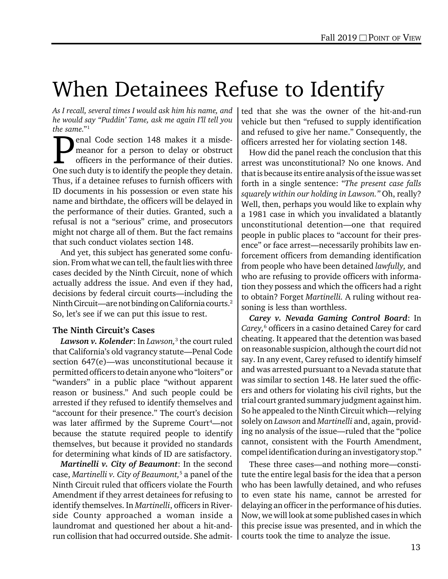### When Detainees Refuse to Identify

*As I recall, several times I would ask him his name, and he would say "Puddin' Tame, ask me again I'll tell you the same.*"1

enal Code section 148 makes it a misdemeanor for a person to delay or obstruct officers in the performance of their duties. **OREGAINS** enal Code section 148 makes it a misde-<br>meanor for a person to delay or obstruct<br>officers in the performance of their duties.<br>One such duty is to identify the people they detain. Thus, if a detainee refuses to furnish officers with ID documents in his possession or even state his name and birthdate, the officers will be delayed in the performance of their duties. Granted, such a refusal is not a "serious" crime, and prosecutors might not charge all of them. But the fact remains that such conduct violates section 148.

And yet, this subject has generated some confusion. From what we can tell, the fault lies with three cases decided by the Ninth Circuit, none of which actually address the issue. And even if they had, decisions by federal circuit courts—including the Ninth Circuit—are not binding on California courts.2 So, let's see if we can put this issue to rest.

#### The Ninth Circuit's Cases

*Lawson v. Kolender*: In *Lawson,*<sup>3</sup> the court ruled that California's old vagrancy statute—Penal Code section 647(e)—was unconstitutional because it permitted officers to detain anyone who "loiters" or "wanders" in a public place "without apparent reason or business." And such people could be arrested if they refused to identify themselves and "account for their presence." The court's decision was later affirmed by the Supreme Court<sup>4</sup>—not because the statute required people to identify themselves, but because it provided no standards for determining what kinds of ID are satisfactory.

*Martinelli v. City of Beaumont*: In the second case, *Martinelli v. City of Beaumont,*<sup>5</sup> a panel of the Ninth Circuit ruled that officers violate the Fourth Amendment if they arrest detainees for refusing to identify themselves. In *Martinelli*, officers in Riverside County approached a woman inside a laundromat and questioned her about a hit-andrun collision that had occurred outside. She admit-

ted that she was the owner of the hit-and-run vehicle but then "refused to supply identification and refused to give her name." Consequently, the officers arrested her for violating section 148.

How did the panel reach the conclusion that this arrest was unconstitutional? No one knows. And that is because its entire analysis of the issue was set forth in a single sentence: "*The present case falls squarely within our holding in Lawson."* Oh, really? Well, then, perhaps you would like to explain why a 1981 case in which you invalidated a blatantly unconstitutional detention—one that required people in public places to "account for their presence" or face arrest—necessarily prohibits law enforcement officers from demanding identification from people who have been detained *lawfully,* and who are refusing to provide officers with information they possess and which the officers had a right to obtain? Forget *Martinelli.* A ruling without reasoning is less than worthless.

*Carey v. Nevada Gaming Control Board*: In *Carey,*<sup>6</sup> officers in a casino detained Carey for card cheating. It appeared that the detention was based on reasonable suspicion, although the court did not say. In any event, Carey refused to identify himself and was arrested pursuant to a Nevada statute that was similar to section 148. He later sued the officers and others for violating his civil rights, but the trial court granted summary judgment against him. So he appealed to the Ninth Circuit which—relying solely on *Lawson* and *Martinelli* and, again, providing no analysis of the issue—ruled that the "police cannot, consistent with the Fourth Amendment, compel identification during an investigatory stop."

These three cases—and nothing more—constitute the entire legal basis for the idea that a person who has been lawfully detained, and who refuses to even state his name, cannot be arrested for delaying an officer in the performance of his duties. Now, we will look at some published cases in which this precise issue was presented, and in which the courts took the time to analyze the issue.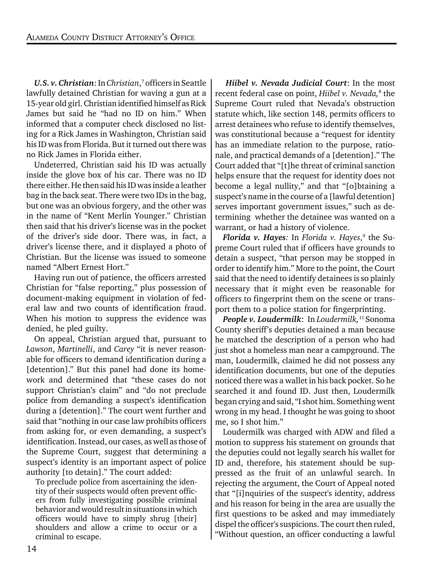U.S. v. Christian: In *Christian*,<sup>7</sup> officers in Seattle lawfully detained Christian for waving a gun at a 15-year old girl. Christian identified himself as Rick James but said he "had no ID on him." When informed that a computer check disclosed no listing for a Rick James in Washington, Christian said his ID was from Florida. But it turned out there was no Rick James in Florida either.

Undeterred, Christian said his ID was actually inside the glove box of his car. There was no ID there either. He then said his ID was inside a leather bag in the back seat. There were two IDs in the bag, but one was an obvious forgery, and the other was in the name of "Kent Merlin Younger." Christian then said that his driver's license was in the pocket of the driver's side door. There was, in fact, a driver's license there, and it displayed a photo of Christian. But the license was issued to someone named "Albert Ernest Hort."

Having run out of patience, the officers arrested Christian for "false reporting," plus possession of document-making equipment in violation of federal law and two counts of identification fraud. When his motion to suppress the evidence was denied, he pled guilty.

On appeal, Christian argued that, pursuant to *Lawson*, *Martinelli*, and *Carey* "it is never reasonable for officers to demand identification during a [detention]." But this panel had done its homework and determined that "these cases do not support Christian's claim" and "do not preclude police from demanding a suspect's identification during a [detention]." The court went further and said that "nothing in our case law prohibits officers from asking for, or even demanding, a suspect's identification. Instead, our cases, as well as those of the Supreme Court, suggest that determining a suspect's identity is an important aspect of police authority [to detain]." The court added:

To preclude police from ascertaining the identity of their suspects would often prevent officers from fully investigating possible criminal behavior and would result in situations in which officers would have to simply shrug [their] shoulders and allow a crime to occur or a criminal to escape.

*Hiibel v. Nevada Judicial Court*: In the most recent federal case on point, *Hiibel v. Nevada*,<sup>8</sup> the Supreme Court ruled that Nevada's obstruction statute which, like section 148, permits officers to arrest detainees who refuse to identify themselves, was constitutional because a "request for identity has an immediate relation to the purpose, rationale, and practical demands of a [detention]." The Court added that "[t]he threat of criminal sanction helps ensure that the request for identity does not become a legal nullity," and that "[o]btaining a suspect's name in the course of a [lawful detention] serves important government issues," such as determining whether the detainee was wanted on a warrant, or had a history of violence.

*Florida v. Hayes:* In *Florida v. Hayes*, 9 the Supreme Court ruled that if officers have grounds to detain a suspect, "that person may be stopped in order to identify him." More to the point, the Court said that the need to identify detainees is so plainly necessary that it might even be reasonable for officers to fingerprint them on the scene or transport them to a police station for fingerprinting.

*People v. Loudermilk*: In *Loudermilk,*11 Sonoma County sheriff's deputies detained a man because he matched the description of a person who had just shot a homeless man near a campground. The man, Loudermilk, claimed he did not possess any identification documents, but one of the deputies noticed there was a wallet in his back pocket. So he searched it and found ID. Just then, Loudermilk began crying and said, "I shot him. Something went wrong in my head. I thought he was going to shoot me, so I shot him."

Loudermilk was charged with ADW and filed a motion to suppress his statement on grounds that the deputies could not legally search his wallet for ID and, therefore, his statement should be suppressed as the fruit of an unlawful search. In rejecting the argument, the Court of Appeal noted that "[i]nquiries of the suspect's identity, address and his reason for being in the area are usually the first questions to be asked and may immediately dispel the officer's suspicions. The court then ruled, "Without question, an officer conducting a lawful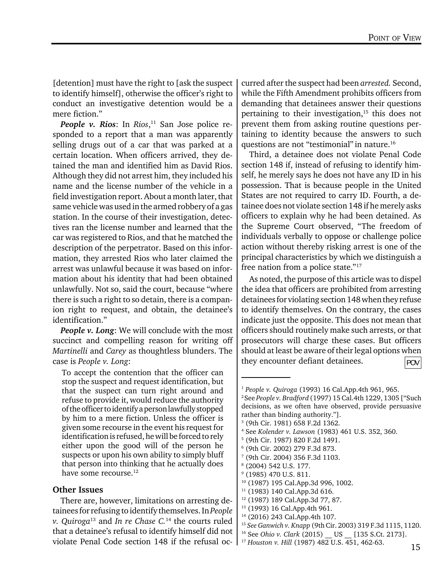[detention] must have the right to [ask the suspect to identify himself], otherwise the officer's right to conduct an investigative detention would be a mere fiction."

*People v. Rios*: In *Rios*, 11 San Jose police responded to a report that a man was apparently selling drugs out of a car that was parked at a certain location. When officers arrived, they detained the man and identified him as David Rios. Although they did not arrest him, they included his name and the license number of the vehicle in a field investigation report. About a month later, that same vehicle was used in the armed robbery of a gas station. In the course of their investigation, detectives ran the license number and learned that the car was registered to Rios, and that he matched the description of the perpetrator. Based on this information, they arrested Rios who later claimed the arrest was unlawful because it was based on information about his identity that had been obtained unlawfully. Not so, said the court, because "where there is such a right to so detain, there is a companion right to request, and obtain, the detainee's identification."

*People v. Long*: We will conclude with the most succinct and compelling reason for writing off *Martinelli* and *Carey* as thoughtless blunders. The case is *People v. Long*:

To accept the contention that the officer can stop the suspect and request identification, but that the suspect can turn right around and refuse to provide it, would reduce the authority of the officer to identify a person lawfully stopped by him to a mere fiction. Unless the officer is given some recourse in the event his request for identification is refused, he will be forced to rely either upon the good will of the person he suspects or upon his own ability to simply bluff that person into thinking that he actually does have some recourse.12

#### Other Issues

There are, however, limitations on arresting detainees for refusing to identify themselves. In *People v. Quiroga*13 and *In re Chase C.*<sup>14</sup> the courts ruled that a detainee's refusal to identify himself did not violate Penal Code section 148 if the refusal occurred after the suspect had been *arrested.* Second, while the Fifth Amendment prohibits officers from demanding that detainees answer their questions pertaining to their investigation, $15$  this does not prevent them from asking routine questions pertaining to identity because the answers to such questions are not "testimonial" in nature.16

Third, a detainee does not violate Penal Code section 148 if, instead of refusing to identify himself, he merely says he does not have any ID in his possession. That is because people in the United States are not required to carry ID. Fourth, a detainee does not violate section 148 if he merely asks officers to explain why he had been detained. As the Supreme Court observed, "The freedom of individuals verbally to oppose or challenge police action without thereby risking arrest is one of the principal characteristics by which we distinguish a free nation from a police state."17

As noted, the purpose of this article was to dispel the idea that officers are prohibited from arresting detainees for violating section 148 when they refuse to identify themselves. On the contrary, the cases indicate just the opposite. This does not mean that officers should routinely make such arrests, or that prosecutors will charge these cases. But officers should at least be aware of their legal options when they encounter defiant detainees.  $\boxed{POV}$ 

<sup>1</sup> *People v. Quiroga* (1993) 16 Cal.App.4th 961, 965. 2 See *People v. Bradford* (1997) 15 Cal.4th 1229, 1305 ["Such decisions, as we often have observed, provide persuasive rather than binding authority."]. 3 (9th Cir. 1981) 658 F.2d 1362. 4 See *Kolender v. Lawson* (1983) 461 U.S. 352, 360. 5 (9th Cir. 1987) 820 F.2d 1491. 6 (9th Cir. 2002) 279 F.3d 873. 7 (9th Cir. 2004) 356 F.3d 1103. 8 (2004) 542 U.S. 177. <sup>9</sup> (1985) 470 U.S. 811. <sup>10</sup> (1987) 195 Cal.App.3d 996, 1002. 11 (1983) 140 Cal.App.3d 616. 12 (1987) 189 Cal.App.3d 77, 87. 13 (1993) 16 Cal.App.4th 961. 14 (2016) 243 Cal.App.4th 107. <sup>15</sup> *See Ganwich v. Knapp* (9th Cir. 2003) 319 F.3d 1115, 1120. <sup>16</sup> See *Ohio v. Clark* (2015) US [135 S.Ct. 2173].

<sup>17</sup> *Houston v. Hill* (1987) 482 U.S. 451, 462-63.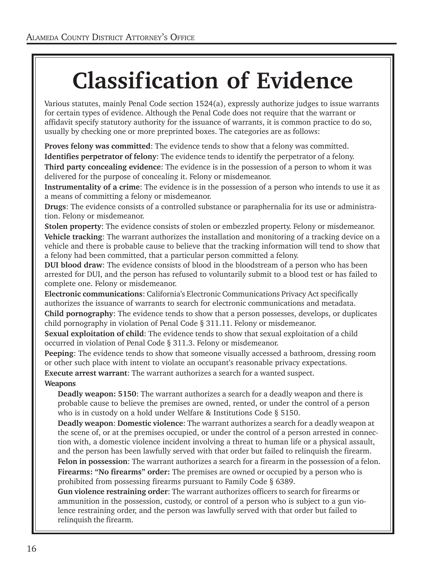## Classification of Evidence

Various statutes, mainly Penal Code section 1524(a), expressly authorize judges to issue warrants for certain types of evidence. Although the Penal Code does not require that the warrant or affidavit specify statutory authority for the issuance of warrants, it is common practice to do so, usually by checking one or more preprinted boxes. The categories are as follows:

Proves felony was committed: The evidence tends to show that a felony was committed.

Identifies perpetrator of felony: The evidence tends to identify the perpetrator of a felony.

Third party concealing evidence: The evidence is in the possession of a person to whom it was delivered for the purpose of concealing it. Felony or misdemeanor.

Instrumentality of a crime: The evidence is in the possession of a person who intends to use it as a means of committing a felony or misdemeanor.

Drugs: The evidence consists of a controlled substance or paraphernalia for its use or administration. Felony or misdemeanor.

Stolen property: The evidence consists of stolen or embezzled property. Felony or misdemeanor. Vehicle tracking: The warrant authorizes the installation and monitoring of a tracking device on a vehicle and there is probable cause to believe that the tracking information will tend to show that a felony had been committed, that a particular person committed a felony.

DUI blood draw: The evidence consists of blood in the bloodstream of a person who has been arrested for DUI, and the person has refused to voluntarily submit to a blood test or has failed to complete one. Felony or misdemeanor.

Electronic communications: California's Electronic Communications Privacy Act specifically authorizes the issuance of warrants to search for electronic communications and metadata. Child pornography: The evidence tends to show that a person possesses, develops, or duplicates child pornography in violation of Penal Code § 311.11. Felony or misdemeanor.

Sexual exploitation of child: The evidence tends to show that sexual exploitation of a child occurred in violation of Penal Code § 311.3. Felony or misdemeanor.

Peeping: The evidence tends to show that someone visually accessed a bathroom, dressing room or other such place with intent to violate an occupant's reasonable privacy expectations.

Execute arrest warrant: The warrant authorizes a search for a wanted suspect.

#### **Weapons**

Deadly weapon: 5150: The warrant authorizes a search for a deadly weapon and there is probable cause to believe the premises are owned, rented, or under the control of a person who is in custody on a hold under Welfare & Institutions Code § 5150.

Deadly weapon: Domestic violence: The warrant authorizes a search for a deadly weapon at the scene of, or at the premises occupied, or under the control of a person arrested in connection with, a domestic violence incident involving a threat to human life or a physical assault, and the person has been lawfully served with that order but failed to relinquish the firearm. Felon in possession: The warrant authorizes a search for a firearm in the possession of a felon. Firearms: "No firearms" order: The premises are owned or occupied by a person who is prohibited from possessing firearms pursuant to Family Code § 6389.

Gun violence restraining order: The warrant authorizes officers to search for firearms or ammunition in the possession, custody, or control of a person who is subject to a gun violence restraining order, and the person was lawfully served with that order but failed to relinquish the firearm.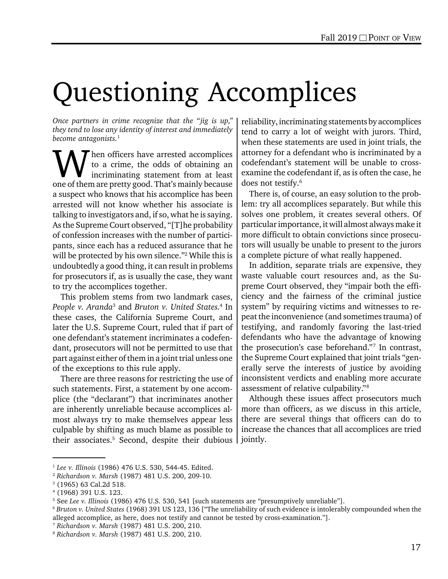# Questioning Accomplices

*Once partners in crime recognize that the "jig is up," they tend to lose any identity of interest and immediately become antagonists.*<sup>1</sup>

W hen officers have arrested accomplices<br>to a crime, the odds of obtaining an<br>incriminating statement from at least to a crime, the odds of obtaining an incriminating statement from at least one of them are pretty good. That's mainly because a suspect who knows that his accomplice has been arrested will not know whether his associate is talking to investigators and, if so, what he is saying. As the Supreme Court observed, "[T]he probability of confession increases with the number of participants, since each has a reduced assurance that he will be protected by his own silence."2 While this is undoubtedly a good thing, it can result in problems for prosecutors if, as is usually the case, they want to try the accomplices together.

This problem stems from two landmark cases, *People v. Aranda*<sup>3</sup> and *Bruton v. United States.*<sup>4</sup> In these cases, the California Supreme Court, and later the U.S. Supreme Court, ruled that if part of one defendant's statement incriminates a codefendant, prosecutors will not be permitted to use that part against either of them in a joint trial unless one of the exceptions to this rule apply.

There are three reasons for restricting the use of such statements. First, a statement by one accomplice (the "declarant") that incriminates another are inherently unreliable because accomplices almost always try to make themselves appear less culpable by shifting as much blame as possible to their associates.<sup>5</sup> Second, despite their dubious

reliability, incriminating statements by accomplices tend to carry a lot of weight with jurors. Third, when these statements are used in joint trials, the attorney for a defendant who is incriminated by a codefendant's statement will be unable to crossexamine the codefendant if, as is often the case, he does not testify.<sup>6</sup>

There is, of course, an easy solution to the problem: try all accomplices separately. But while this solves one problem, it creates several others. Of particular importance, it will almost always make it more difficult to obtain convictions since prosecutors will usually be unable to present to the jurors a complete picture of what really happened.

In addition, separate trials are expensive, they waste valuable court resources and, as the Supreme Court observed, they "impair both the efficiency and the fairness of the criminal justice system" by requiring victims and witnesses to repeat the inconvenience (and sometimes trauma) of testifying, and randomly favoring the last-tried defendants who have the advantage of knowing the prosecution's case beforehand."7 In contrast, the Supreme Court explained that joint trials "generally serve the interests of justice by avoiding inconsistent verdicts and enabling more accurate assessment of relative culpability."8

Although these issues affect prosecutors much more than officers, as we discuss in this article, there are several things that officers can do to increase the chances that all accomplices are tried jointly.

<sup>1</sup> *Lee v. Illinois* (1986) 476 U.S. 530, 544-45. Edited.

<sup>2</sup> *Richardson v. Marsh* (1987) 481 U.S. 200, 209-10.

<sup>3</sup> (1965) 63 Cal.2d 518.

<sup>4</sup> (1968) 391 U.S. 123.

<sup>5</sup> See *Lee v. Illinois* (1986) 476 U.S. 530, 541 [such statements are "presumptively unreliable"].

<sup>6</sup> *Bruton v. United States* (1968) 391 US 123, 136 ["The unreliability of such evidence is intolerably compounded when the alleged accomplice, as here, does not testify and cannot be tested by cross-examination."].

<sup>7</sup> *Richardson v. Marsh* (1987) 481 U.S. 200, 210.

<sup>8</sup> *Richardson v. Marsh* (1987) 481 U.S. 200, 210.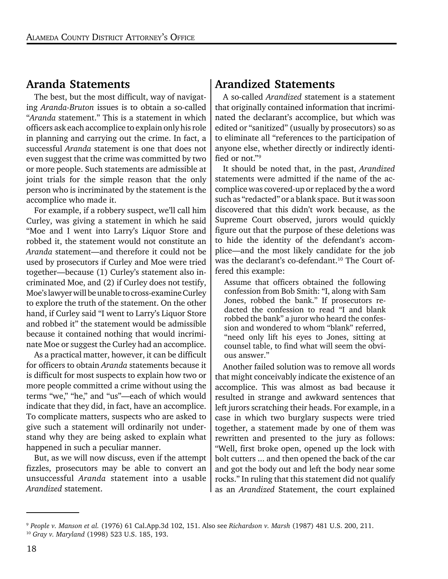#### Aranda Statements

The best, but the most difficult, way of navigating *Aranda-Bruton* issues is to obtain a so-called "*Aranda* statement." This is a statement in which officers ask each accomplice to explain only his role in planning and carrying out the crime. In fact, a successful *Aranda* statement is one that does not even suggest that the crime was committed by two or more people. Such statements are admissible at joint trials for the simple reason that the only person who is incriminated by the statement is the accomplice who made it.

For example, if a robbery suspect, we'll call him Curley, was giving a statement in which he said "Moe and I went into Larry's Liquor Store and robbed it, the statement would not constitute an *Aranda* statement—and therefore it could not be used by prosecutors if Curley and Moe were tried together—because (1) Curley's statement also incriminated Moe, and (2) if Curley does not testify, Moe's lawyer will be unable to cross-examine Curley to explore the truth of the statement. On the other hand, if Curley said "I went to Larry's Liquor Store and robbed it" the statement would be admissible because it contained nothing that would incriminate Moe or suggest the Curley had an accomplice.

As a practical matter, however, it can be difficult for officers to obtain *Aranda* statements because it is difficult for most suspects to explain how two or more people committed a crime without using the terms "we," "he," and "us"—each of which would indicate that they did, in fact, have an accomplice. To complicate matters, suspects who are asked to give such a statement will ordinarily not understand why they are being asked to explain what happened in such a peculiar manner.

But, as we will now discuss, even if the attempt fizzles, prosecutors may be able to convert an unsuccessful *Aranda* statement into a usable *Arandized* statement.

#### Arandized Statements

A so-called *Arandized* statement is a statement that originally contained information that incriminated the declarant's accomplice, but which was edited or "sanitized" (usually by prosecutors) so as to eliminate all "references to the participation of anyone else, whether directly or indirectly identified or not."9

It should be noted that, in the past, *Arandized* statements were admitted if the name of the accomplice was covered-up or replaced by the a word such as "redacted" or a blank space. But it was soon discovered that this didn't work because, as the Supreme Court observed, jurors would quickly figure out that the purpose of these deletions was to hide the identity of the defendant's accomplice—and the most likely candidate for the job was the declarant's co-defendant.<sup>10</sup> The Court offered this example:

Assume that officers obtained the following confession from Bob Smith: "I, along with Sam Jones, robbed the bank." If prosecutors redacted the confession to read "I and blank robbed the bank" a juror who heard the confession and wondered to whom "blank" referred, "need only lift his eyes to Jones, sitting at counsel table, to find what will seem the obvious answer."

Another failed solution was to remove all words that might conceivably indicate the existence of an accomplice. This was almost as bad because it resulted in strange and awkward sentences that left jurors scratching their heads. For example, in a case in which two burglary suspects were tried together, a statement made by one of them was rewritten and presented to the jury as follows: "Well, first broke open, opened up the lock with bolt cutters ... and then opened the back of the car and got the body out and left the body near some rocks." In ruling that this statement did not qualify as an *Arandized* Statement, the court explained

<sup>9</sup> *People v. Manson et al.* (1976) 61 Cal.App.3d 102, 151. Also see *Richardson v. Marsh* (1987) 481 U.S. 200, 211. <sup>10</sup> *Gray v. Maryland* (1998) 523 U.S. 185, 193.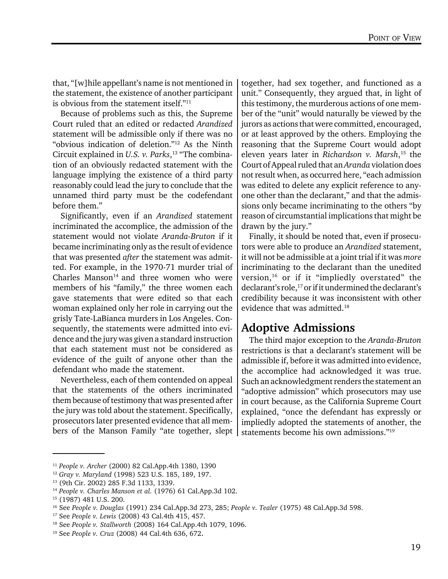that, "[w]hile appellant's name is not mentioned in the statement, the existence of another participant is obvious from the statement itself."11

Because of problems such as this, the Supreme Court ruled that an edited or redacted *Arandized* statement will be admissible only if there was no "obvious indication of deletion."12 As the Ninth Circuit explained in *U.S. v. Parks*, 13 "The combination of an obviously redacted statement with the language implying the existence of a third party reasonably could lead the jury to conclude that the unnamed third party must be the codefendant before them."

Significantly, even if an *Arandized* statement incriminated the accomplice, the admission of the statement would not violate *Aranda-Bruton* if it became incriminating only as the result of evidence that was presented *after* the statement was admitted. For example, in the 1970-71 murder trial of Charles Manson $14$  and three women who were members of his "family," the three women each gave statements that were edited so that each woman explained only her role in carrying out the grisly Tate-LaBianca murders in Los Angeles. Consequently, the statements were admitted into evidence and the jury was given a standard instruction that each statement must not be considered as evidence of the guilt of anyone other than the defendant who made the statement.

Nevertheless, each of them contended on appeal that the statements of the others incriminated them because of testimony that was presented after the jury was told about the statement. Specifically, prosecutors later presented evidence that all members of the Manson Family "ate together, slept

together, had sex together, and functioned as a unit." Consequently, they argued that, in light of this testimony, the murderous actions of one member of the "unit" would naturally be viewed by the jurors as actions that were committed, encouraged, or at least approved by the others. Employing the reasoning that the Supreme Court would adopt eleven years later in *Richardson v. Marsh*, 15 the Court of Appeal ruled that an *Aranda* violation does not result when, as occurred here, "each admission was edited to delete any explicit reference to anyone other than the declarant," and that the admissions only became incriminating to the others "by reason of circumstantial implications that might be drawn by the jury."

Finally, it should be noted that, even if prosecutors were able to produce an *Arandized* statement, it will not be admissible at a joint trial if it was *more* incriminating to the declarant than the unedited version,16 or if it "impliedly overstated" the declarant's role,<sup>17</sup> or if it undermined the declarant's credibility because it was inconsistent with other evidence that was admitted.18

#### Adoptive Admissions

The third major exception to the *Aranda-Bruton* restrictions is that a declarant's statement will be admissible if, before it was admitted into evidence, the accomplice had acknowledged it was true. Such an acknowledgment renders the statement an "adoptive admission" which prosecutors may use in court because, as the California Supreme Court explained, "once the defendant has expressly or impliedly adopted the statements of another, the statements become his own admissions."19

<sup>11</sup> *People v. Archer* (2000) 82 Cal.App.4th 1380, 1390

<sup>12</sup> *Gray v. Maryland* (1998) 523 U.S. 185, 189, 197.

<sup>13 (9</sup>th Cir. 2002) 285 F.3d 1133, 1339.

<sup>14</sup> *People v. Charles Manson et al.* (1976) 61 Cal.App.3d 102.

<sup>15 (1987) 481</sup> U.S. 200.

<sup>16</sup> See *People v. Douglas* (1991) 234 Cal.App.3d 273, 285; *People v. Tealer* (1975) 48 Cal.App.3d 598.

<sup>17</sup> See *People v. Lewis* (2008) 43 Cal.4th 415, 457.

<sup>18</sup> See *People v. Stallworth* (2008) 164 Cal.App.4th 1079, 1096.

<sup>19</sup> See *People v. Cruz* (2008) 44 Cal.4th 636, 672.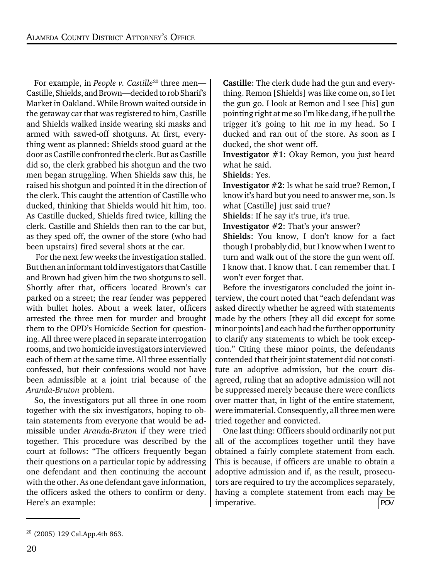For example, in *People v. Castille<sup>20</sup>* three men— Castille, Shields, and Brown—decided to rob Sharif's Market in Oakland. While Brown waited outside in the getaway car that was registered to him, Castille and Shields walked inside wearing ski masks and armed with sawed-off shotguns. At first, everything went as planned: Shields stood guard at the door as Castille confronted the clerk. But as Castille did so, the clerk grabbed his shotgun and the two men began struggling. When Shields saw this, he raised his shotgun and pointed it in the direction of the clerk. This caught the attention of Castille who ducked, thinking that Shields would hit him, too. As Castille ducked, Shields fired twice, killing the clerk. Castille and Shields then ran to the car but, as they sped off, the owner of the store (who had been upstairs) fired several shots at the car.

 For the next few weeks the investigation stalled. But then an informant told investigators that Castille and Brown had given him the two shotguns to sell. Shortly after that, officers located Brown's car parked on a street; the rear fender was peppered with bullet holes. About a week later, officers arrested the three men for murder and brought them to the OPD's Homicide Section for questioning. All three were placed in separate interrogation rooms, and two homicide investigators interviewed each of them at the same time. All three essentially confessed, but their confessions would not have been admissible at a joint trial because of the *Aranda-Bruton* problem.

So, the investigators put all three in one room together with the six investigators, hoping to obtain statements from everyone that would be admissible under *Aranda-Bruton* if they were tried together. This procedure was described by the court at follows: "The officers frequently began their questions on a particular topic by addressing one defendant and then continuing the account with the other. As one defendant gave information, the officers asked the others to confirm or deny. Here's an example:

Castille: The clerk dude had the gun and everything. Remon [Shields] was like come on, so I let the gun go. I look at Remon and I see [his] gun pointing right at me so I'm like dang, if he pull the trigger it's going to hit me in my head. So I ducked and ran out of the store. As soon as I ducked, the shot went off.

Investigator #1: Okay Remon, you just heard what he said.

Shields: Yes.

Investigator #2: Is what he said true? Remon, I know it's hard but you need to answer me, son. Is what [Castille] just said true?

Shields: If he say it's true, it's true.

Investigator #2: That's your answer?

Shields: You know, I don't know for a fact though I probably did, but I know when I went to turn and walk out of the store the gun went off. I know that. I know that. I can remember that. I won't ever forget that.

Before the investigators concluded the joint interview, the court noted that "each defendant was asked directly whether he agreed with statements made by the others [they all did except for some minor points] and each had the further opportunity to clarify any statements to which he took exception." Citing these minor points, the defendants contended that their joint statement did not constitute an adoptive admission, but the court disagreed, ruling that an adoptive admission will not be suppressed merely because there were conflicts over matter that, in light of the entire statement, were immaterial. Consequently, all three men were tried together and convicted.

One last thing: Officers should ordinarily not put all of the accomplices together until they have obtained a fairly complete statement from each. This is because, if officers are unable to obtain a adoptive admission and if, as the result, prosecutors are required to try the accomplices separately, having a complete statement from each may be imperative. POV

<sup>20</sup> (2005) 129 Cal.App.4th 863.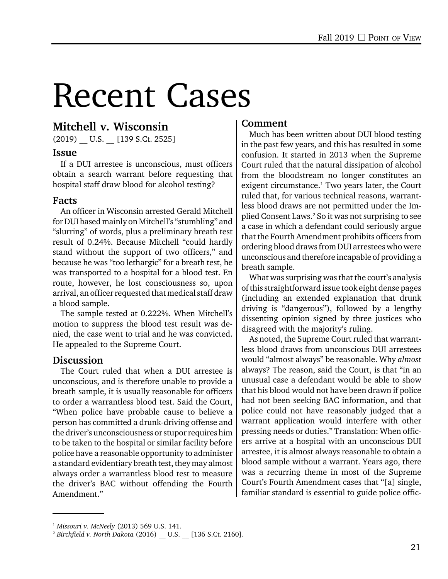# Recent Cases

#### Mitchell v. Wisconsin

 $(2019)$  U.S.  $[139 S.Ct. 2525]$ 

#### Issue

If a DUI arrestee is unconscious, must officers obtain a search warrant before requesting that hospital staff draw blood for alcohol testing?

#### Facts

An officer in Wisconsin arrested Gerald Mitchell for DUI based mainly on Mitchell's "stumbling" and "slurring" of words, plus a preliminary breath test result of 0.24%. Because Mitchell "could hardly stand without the support of two officers," and because he was "too lethargic" for a breath test, he was transported to a hospital for a blood test. En route, however, he lost consciousness so, upon arrival, an officer requested that medical staff draw a blood sample.

The sample tested at 0.222%. When Mitchell's motion to suppress the blood test result was denied, the case went to trial and he was convicted. He appealed to the Supreme Court.

#### **Discussion**

The Court ruled that when a DUI arrestee is unconscious, and is therefore unable to provide a breath sample, it is usually reasonable for officers to order a warrantless blood test. Said the Court, "When police have probable cause to believe a person has committed a drunk-driving offense and the driver's unconsciousness or stupor requires him to be taken to the hospital or similar facility before police have a reasonable opportunity to administer a standard evidentiary breath test, they may almost always order a warrantless blood test to measure the driver's BAC without offending the Fourth Amendment."

#### Comment

Much has been written about DUI blood testing in the past few years, and this has resulted in some confusion. It started in 2013 when the Supreme Court ruled that the natural dissipation of alcohol from the bloodstream no longer constitutes an exigent circumstance.<sup>1</sup> Two years later, the Court ruled that, for various technical reasons, warrantless blood draws are not permitted under the Implied Consent Laws.2 So it was not surprising to see a case in which a defendant could seriously argue that the Fourth Amendment prohibits officers from ordering blood draws from DUI arrestees who were unconscious and therefore incapable of providing a breath sample.

What was surprising was that the court's analysis of this straightforward issue took eight dense pages (including an extended explanation that drunk driving is "dangerous"), followed by a lengthy dissenting opinion signed by three justices who disagreed with the majority's ruling.

As noted, the Supreme Court ruled that warrantless blood draws from unconscious DUI arrestees would "almost always" be reasonable. Why *almost* always? The reason, said the Court, is that "in an unusual case a defendant would be able to show that his blood would not have been drawn if police had not been seeking BAC information, and that police could not have reasonably judged that a warrant application would interfere with other pressing needs or duties." Translation: When officers arrive at a hospital with an unconscious DUI arrestee, it is almost always reasonable to obtain a blood sample without a warrant. Years ago, there was a recurring theme in most of the Supreme Court's Fourth Amendment cases that "[a] single, familiar standard is essential to guide police offic-

<sup>1</sup> *Missouri v. McNeely* (2013) 569 U.S. 141.

<sup>2</sup> *Birchfield v. North Dakota* (2016) \_\_ U.S. \_\_ [136 S.Ct. 2160].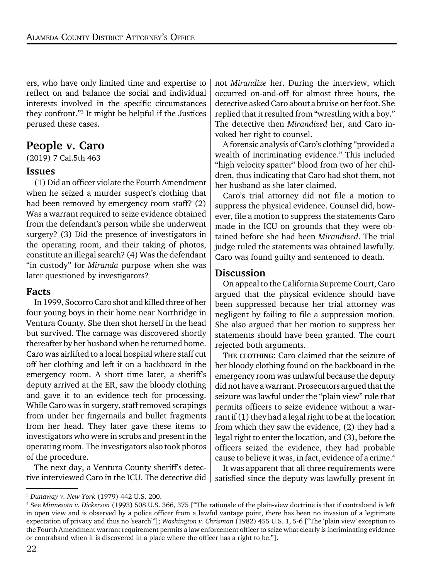ers, who have only limited time and expertise to reflect on and balance the social and individual interests involved in the specific circumstances they confront."3 It might be helpful if the Justices perused these cases.

#### People v. Caro

(2019) 7 Cal.5th 463

#### Issues

(1) Did an officer violate the Fourth Amendment when he seized a murder suspect's clothing that had been removed by emergency room staff? (2) Was a warrant required to seize evidence obtained from the defendant's person while she underwent surgery? (3) Did the presence of investigators in the operating room, and their taking of photos, constitute an illegal search? (4) Was the defendant "in custody" for *Miranda* purpose when she was later questioned by investigators?

#### Facts

In 1999, Socorro Caro shot and killed three of her four young boys in their home near Northridge in Ventura County. She then shot herself in the head but survived. The carnage was discovered shortly thereafter by her husband when he returned home. Caro was airlifted to a local hospital where staff cut off her clothing and left it on a backboard in the emergency room. A short time later, a sheriff's deputy arrived at the ER, saw the bloody clothing and gave it to an evidence tech for processing. While Caro was in surgery, staff removed scrapings from under her fingernails and bullet fragments from her head. They later gave these items to investigators who were in scrubs and present in the operating room. The investigators also took photos of the procedure.

The next day, a Ventura County sheriff's detective interviewed Caro in the ICU. The detective did

not *Mirandize* her. During the interview, which occurred on-and-off for almost three hours, the detective asked Caro about a bruise on her foot. She replied that it resulted from "wrestling with a boy." The detective then *Mirandized* her, and Caro invoked her right to counsel.

A forensic analysis of Caro's clothing "provided a wealth of incriminating evidence." This included "high velocity spatter" blood from two of her children, thus indicating that Caro had shot them, not her husband as she later claimed.

Caro's trial attorney did not file a motion to suppress the physical evidence. Counsel did, however, file a motion to suppress the statements Caro made in the ICU on grounds that they were obtained before she had been *Mirandized*. The trial judge ruled the statements was obtained lawfully. Caro was found guilty and sentenced to death.

#### Discussion

On appeal to the California Supreme Court, Caro argued that the physical evidence should have been suppressed because her trial attorney was negligent by failing to file a suppression motion. She also argued that her motion to suppress her statements should have been granted. The court rejected both arguments.

THE CLOTHING: Caro claimed that the seizure of her bloody clothing found on the backboard in the emergency room was unlawful because the deputy did not have a warrant. Prosecutors argued that the seizure was lawful under the "plain view" rule that permits officers to seize evidence without a warrant if (1) they had a legal right to be at the location from which they saw the evidence, (2) they had a legal right to enter the location, and (3), before the officers seized the evidence, they had probable cause to believe it was, in fact, evidence of a crime.<sup>4</sup>

It was apparent that all three requirements were satisfied since the deputy was lawfully present in

<sup>3</sup> *Dunaway v. New York* (1979) 442 U.S. 200.

<sup>4</sup> See *Minnesota v. Dickerson* (1993) 508 U.S. 366, 375 ["The rationale of the plain-view doctrine is that if contraband is left in open view and is observed by a police officer from a lawful vantage point, there has been no invasion of a legitimate expectation of privacy and thus no 'search'"]; *Washington v. Chrisman* (1982) 455 U.S. 1, 5-6 ["The 'plain view' exception to the Fourth Amendment warrant requirement permits a law enforcement officer to seize what clearly is incriminating evidence or contraband when it is discovered in a place where the officer has a right to be."].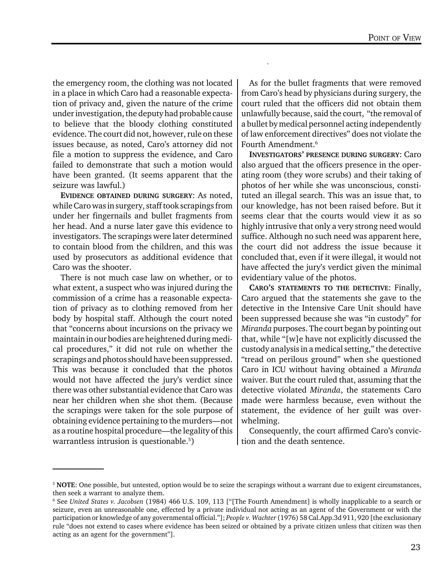the emergency room, the clothing was not located in a place in which Caro had a reasonable expectation of privacy and, given the nature of the crime under investigation, the deputy had probable cause to believe that the bloody clothing constituted evidence. The court did not, however, rule on these issues because, as noted, Caro's attorney did not file a motion to suppress the evidence, and Caro failed to demonstrate that such a motion would have been granted. (It seems apparent that the seizure was lawful.)

EVIDENCE OBTAINED DURING SURGERY: As noted, while Caro was in surgery, staff took scrapings from under her fingernails and bullet fragments from her head. And a nurse later gave this evidence to investigators. The scrapings were later determined to contain blood from the children, and this was used by prosecutors as additional evidence that Caro was the shooter.

There is not much case law on whether, or to what extent, a suspect who was injured during the commission of a crime has a reasonable expectation of privacy as to clothing removed from her body by hospital staff. Although the court noted that "concerns about incursions on the privacy we maintain in our bodies are heightened during medical procedures," it did not rule on whether the scrapings and photos should have been suppressed. This was because it concluded that the photos would not have affected the jury's verdict since there was other substantial evidence that Caro was near her children when she shot them. (Because the scrapings were taken for the sole purpose of obtaining evidence pertaining to the murders—not as a routine hospital procedure—the legality of this warrantless intrusion is questionable.<sup>5</sup>)

As for the bullet fragments that were removed from Caro's head by physicians during surgery, the court ruled that the officers did not obtain them unlawfully because, said the court, "the removal of a bullet by medical personnel acting independently of law enforcement directives" does not violate the Fourth Amendment.6

INVESTIGATORS' PRESENCE DURING SURGERY: Caro also argued that the officers presence in the operating room (they wore scrubs) and their taking of photos of her while she was unconscious, constituted an illegal search. This was an issue that, to our knowledge, has not been raised before. But it seems clear that the courts would view it as so highly intrusive that only a very strong need would suffice. Although no such need was apparent here, the court did not address the issue because it concluded that, even if it were illegal, it would not have affected the jury's verdict given the minimal evidentiary value of the photos.

CARO'S STATEMENTS TO THE DETECTIVE: Finally, Caro argued that the statements she gave to the detective in the Intensive Care Unit should have been suppressed because she was "in custody" for *Miranda* purposes. The court began by pointing out that, while "[w]e have not explicitly discussed the custody analysis in a medical setting," the detective "tread on perilous ground" when she questioned Caro in ICU without having obtained a *Miranda* waiver. But the court ruled that, assuming that the detective violated *Miranda*, the statements Caro made were harmless because, even without the statement, the evidence of her guilt was overwhelming.

Consequently, the court affirmed Caro's conviction and the death sentence.

<sup>&</sup>lt;sup>5</sup> NOTE: One possible, but untested, option would be to seize the scrapings without a warrant due to exigent circumstances, then seek a warrant to analyze them.

<sup>6</sup> See *United States v. Jacobsen* (1984) 466 U.S. 109, 113 ["[The Fourth Amendment] is wholly inapplicable to a search or seizure, even an unreasonable one, effected by a private individual not acting as an agent of the Government or with the participation or knowledge of any governmental official."]; *People v. Wachter* (1976) 58 Cal.App.3d 911, 920 [the exclusionary rule "does not extend to cases where evidence has been seized or obtained by a private citizen unless that citizen was then acting as an agent for the government"].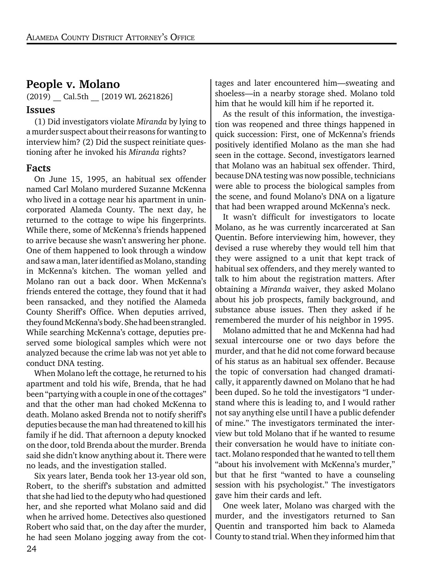#### People v. Molano

(2019) Cal.5th [2019 WL 2621826]

#### Issues

(1) Did investigators violate *Miranda* by lying to a murder suspect about their reasons for wanting to interview him? (2) Did the suspect reinitiate questioning after he invoked his *Miranda* rights?

#### Facts

On June 15, 1995, an habitual sex offender named Carl Molano murdered Suzanne McKenna who lived in a cottage near his apartment in unincorporated Alameda County. The next day, he returned to the cottage to wipe his fingerprints. While there, some of McKenna's friends happened to arrive because she wasn't answering her phone. One of them happened to look through a window and saw a man, later identified as Molano, standing in McKenna's kitchen. The woman yelled and Molano ran out a back door. When McKenna's friends entered the cottage, they found that it had been ransacked, and they notified the Alameda County Sheriff's Office. When deputies arrived, they found McKenna's body. She had been strangled. While searching McKenna's cottage, deputies preserved some biological samples which were not analyzed because the crime lab was not yet able to conduct DNA testing.

When Molano left the cottage, he returned to his apartment and told his wife, Brenda, that he had been "partying with a couple in one of the cottages" and that the other man had choked McKenna to death. Molano asked Brenda not to notify sheriff's deputies because the man had threatened to kill his family if he did. That afternoon a deputy knocked on the door, told Brenda about the murder. Brenda said she didn't know anything about it. There were no leads, and the investigation stalled.

Six years later, Benda took her 13-year old son, Robert, to the sheriff's substation and admitted that she had lied to the deputy who had questioned her, and she reported what Molano said and did when he arrived home. Detectives also questioned Robert who said that, on the day after the murder, he had seen Molano jogging away from the cot-

tages and later encountered him—sweating and shoeless—in a nearby storage shed. Molano told him that he would kill him if he reported it.

As the result of this information, the investigation was reopened and three things happened in quick succession: First, one of McKenna's friends positively identified Molano as the man she had seen in the cottage. Second, investigators learned that Molano was an habitual sex offender. Third, because DNA testing was now possible, technicians were able to process the biological samples from the scene, and found Molano's DNA on a ligature that had been wrapped around McKenna's neck.

It wasn't difficult for investigators to locate Molano, as he was currently incarcerated at San Quentin. Before interviewing him, however, they devised a ruse whereby they would tell him that they were assigned to a unit that kept track of habitual sex offenders, and they merely wanted to talk to him about the registration matters. After obtaining a *Miranda* waiver, they asked Molano about his job prospects, family background, and substance abuse issues. Then they asked if he remembered the murder of his neighbor in 1995.

Molano admitted that he and McKenna had had sexual intercourse one or two days before the murder, and that he did not come forward because of his status as an habitual sex offender. Because the topic of conversation had changed dramatically, it apparently dawned on Molano that he had been duped. So he told the investigators "I understand where this is leading to, and I would rather not say anything else until I have a public defender of mine." The investigators terminated the interview but told Molano that if he wanted to resume their conversation he would have to initiate contact. Molano responded that he wanted to tell them "about his involvement with McKenna's murder," but that he first "wanted to have a counseling session with his psychologist." The investigators gave him their cards and left.

One week later, Molano was charged with the murder, and the investigators returned to San Quentin and transported him back to Alameda County to stand trial. When they informed him that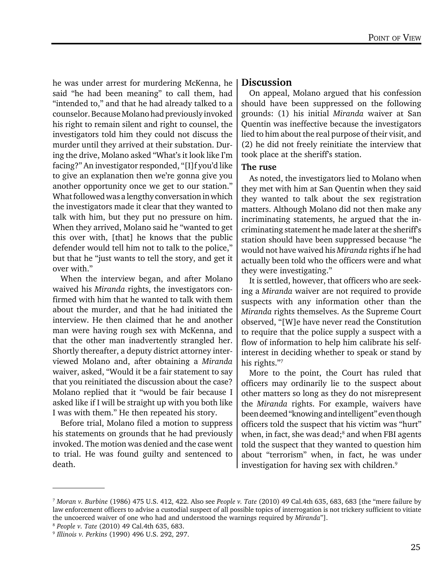he was under arrest for murdering McKenna, he said "he had been meaning" to call them, had "intended to," and that he had already talked to a counselor. Because Molano had previously invoked his right to remain silent and right to counsel, the investigators told him they could not discuss the murder until they arrived at their substation. During the drive, Molano asked "What's it look like I'm facing?" An investigator responded, "[I]f you'd like to give an explanation then we're gonna give you another opportunity once we get to our station." What followed was a lengthy conversation in which the investigators made it clear that they wanted to talk with him, but they put no pressure on him. When they arrived, Molano said he "wanted to get this over with, [that] he knows that the public defender would tell him not to talk to the police," but that he "just wants to tell the story, and get it over with."

When the interview began, and after Molano waived his *Miranda* rights, the investigators confirmed with him that he wanted to talk with them about the murder, and that he had initiated the interview. He then claimed that he and another man were having rough sex with McKenna, and that the other man inadvertently strangled her. Shortly thereafter, a deputy district attorney interviewed Molano and, after obtaining a *Miranda* waiver, asked, "Would it be a fair statement to say that you reinitiated the discussion about the case? Molano replied that it "would be fair because I asked like if I will be straight up with you both like I was with them." He then repeated his story.

Before trial, Molano filed a motion to suppress his statements on grounds that he had previously invoked. The motion was denied and the case went to trial. He was found guilty and sentenced to death.

#### **Discussion**

On appeal, Molano argued that his confession should have been suppressed on the following grounds: (1) his initial *Miranda* waiver at San Quentin was ineffective because the investigators lied to him about the real purpose of their visit, and (2) he did not freely reinitiate the interview that took place at the sheriff's station.

#### The ruse

As noted, the investigators lied to Molano when they met with him at San Quentin when they said they wanted to talk about the sex registration matters. Although Molano did not then make any incriminating statements, he argued that the incriminating statement he made later at the sheriff's station should have been suppressed because "he would not have waived his *Miranda* rights if he had actually been told who the officers were and what they were investigating."

It is settled, however, that officers who are seeking a *Miranda* waiver are not required to provide suspects with any information other than the *Miranda* rights themselves. As the Supreme Court observed, "[W]e have never read the Constitution to require that the police supply a suspect with a flow of information to help him calibrate his selfinterest in deciding whether to speak or stand by his rights."7

More to the point, the Court has ruled that officers may ordinarily lie to the suspect about other matters so long as they do not misrepresent the *Miranda* rights. For example, waivers have been deemed "knowing and intelligent" even though officers told the suspect that his victim was "hurt" when, in fact, she was dead;<sup>8</sup> and when FBI agents told the suspect that they wanted to question him about "terrorism" when, in fact, he was under investigation for having sex with children.<sup>9</sup>

<sup>7</sup> *Moran v. Burbine* (1986) 475 U.S. 412, 422. Also see *People v. Tate* (2010) 49 Cal.4th 635, 683, 683 [the "mere failure by law enforcement officers to advise a custodial suspect of all possible topics of interrogation is not trickery sufficient to vitiate the uncoerced waiver of one who had and understood the warnings required by *Miranda*"].

<sup>8</sup> *People v. Tate* (2010) 49 Cal.4th 635, 683.

<sup>9</sup> *Illinois v. Perkins* (1990) 496 U.S. 292, 297.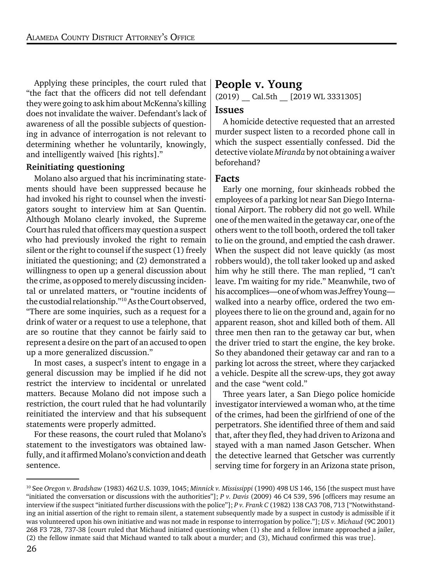Applying these principles, the court ruled that "the fact that the officers did not tell defendant they were going to ask him about McKenna's killing does not invalidate the waiver. Defendant's lack of awareness of all the possible subjects of questioning in advance of interrogation is not relevant to determining whether he voluntarily, knowingly, and intelligently waived [his rights]."

#### Reinitiating questioning

Molano also argued that his incriminating statements should have been suppressed because he had invoked his right to counsel when the investigators sought to interview him at San Quentin. Although Molano clearly invoked, the Supreme Court has ruled that officers may question a suspect who had previously invoked the right to remain silent or the right to counsel if the suspect (1) freely initiated the questioning; and (2) demonstrated a willingness to open up a general discussion about the crime, as opposed to merely discussing incidental or unrelated matters, or "routine incidents of the custodial relationship."10 As the Court observed, "There are some inquiries, such as a request for a drink of water or a request to use a telephone, that are so routine that they cannot be fairly said to represent a desire on the part of an accused to open up a more generalized discussion."

In most cases, a suspect's intent to engage in a general discussion may be implied if he did not restrict the interview to incidental or unrelated matters. Because Molano did not impose such a restriction, the court ruled that he had voluntarily reinitiated the interview and that his subsequent statements were properly admitted.

For these reasons, the court ruled that Molano's statement to the investigators was obtained lawfully, and it affirmed Molano's conviction and death sentence.

#### People v. Young

(2019) Cal.5th [2019 WL 3331305]

#### Issues

A homicide detective requested that an arrested murder suspect listen to a recorded phone call in which the suspect essentially confessed. Did the detective violate *Miranda* by not obtaining a waiver beforehand?

#### Facts

Early one morning, four skinheads robbed the employees of a parking lot near San Diego International Airport. The robbery did not go well. While one of the men waited in the getaway car, one of the others went to the toll booth, ordered the toll taker to lie on the ground, and emptied the cash drawer. When the suspect did not leave quickly (as most robbers would), the toll taker looked up and asked him why he still there. The man replied, "I can't leave. I'm waiting for my ride." Meanwhile, two of his accomplices—one of whom was Jeffrey Young walked into a nearby office, ordered the two employees there to lie on the ground and, again for no apparent reason, shot and killed both of them. All three men then ran to the getaway car but, when the driver tried to start the engine, the key broke. So they abandoned their getaway car and ran to a parking lot across the street, where they carjacked a vehicle. Despite all the screw-ups, they got away and the case "went cold."

Three years later, a San Diego police homicide investigator interviewed a woman who, at the time of the crimes, had been the girlfriend of one of the perpetrators. She identified three of them and said that, after they fled, they had driven to Arizona and stayed with a man named Jason Getscher. When the detective learned that Getscher was currently serving time for forgery in an Arizona state prison,

<sup>10</sup> See *Oregon v. Bradshaw* (1983) 462 U.S. 1039, 1045; *Minnick v. Mississippi* (1990) 498 US 146, 156 [the suspect must have "initiated the conversation or discussions with the authorities"]; *P v. Davis* (2009) 46 C4 539, 596 [officers may resume an interview if the suspect "initiated further discussions with the police"]; *P v. Frank C* (1982) 138 CA3 708, 713 ["Notwithstanding an initial assertion of the right to remain silent, a statement subsequently made by a suspect in custody is admissible if it was volunteered upon his own initiative and was not made in response to interrogation by police."]; *US v. Michaud* (9C 2001) 268 F3 728, 737-38 [court ruled that Michaud initiated questioning when (1) she and a fellow inmate approached a jailer, (2) the fellow inmate said that Michaud wanted to talk about a murder; and (3), Michaud confirmed this was true].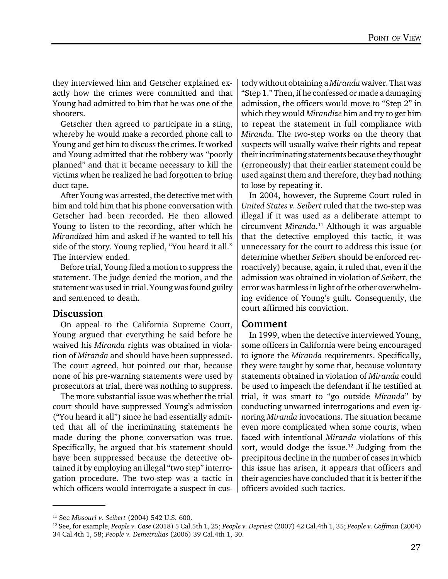they interviewed him and Getscher explained exactly how the crimes were committed and that Young had admitted to him that he was one of the shooters.

Getscher then agreed to participate in a sting, whereby he would make a recorded phone call to Young and get him to discuss the crimes. It worked and Young admitted that the robbery was "poorly planned" and that it became necessary to kill the victims when he realized he had forgotten to bring duct tape.

After Young was arrested, the detective met with him and told him that his phone conversation with Getscher had been recorded. He then allowed Young to listen to the recording, after which he *Mirandized* him and asked if he wanted to tell his side of the story. Young replied, "You heard it all." The interview ended.

Before trial, Young filed a motion to suppress the statement. The judge denied the motion, and the statement was used in trial. Young was found guilty and sentenced to death.

#### Discussion

On appeal to the California Supreme Court, Young argued that everything he said before he waived his *Miranda* rights was obtained in violation of *Miranda* and should have been suppressed. The court agreed, but pointed out that, because none of his pre-warning statements were used by prosecutors at trial, there was nothing to suppress.

The more substantial issue was whether the trial court should have suppressed Young's admission ("You heard it all") since he had essentially admitted that all of the incriminating statements he made during the phone conversation was true. Specifically, he argued that his statement should have been suppressed because the detective obtained it by employing an illegal "two step" interrogation procedure. The two-step was a tactic in which officers would interrogate a suspect in cus-

tody without obtaining a *Miranda* waiver. That was "Step 1." Then, if he confessed or made a damaging admission, the officers would move to "Step 2" in which they would *Mirandize* him and try to get him to repeat the statement in full compliance with *Miranda*. The two-step works on the theory that suspects will usually waive their rights and repeat their incriminating statements because they thought (erroneously) that their earlier statement could be used against them and therefore, they had nothing to lose by repeating it.

In 2004, however, the Supreme Court ruled in *United States v. Seibert* ruled that the two-step was illegal if it was used as a deliberate attempt to circumvent *Miranda*. 11 Although it was arguable that the detective employed this tactic, it was unnecessary for the court to address this issue (or determine whether *Seibert* should be enforced retroactively) because, again, it ruled that, even if the admission was obtained in violation of *Seibert*, the error was harmless in light of the other overwhelming evidence of Young's guilt. Consequently, the court affirmed his conviction.

#### Comment

In 1999, when the detective interviewed Young, some officers in California were being encouraged to ignore the *Miranda* requirements. Specifically, they were taught by some that, because voluntary statements obtained in violation of *Miranda* could be used to impeach the defendant if he testified at trial, it was smart to "go outside *Miranda*" by conducting unwarned interrogations and even ignoring *Miranda* invocations. The situation became even more complicated when some courts, when faced with intentional *Miranda* violations of this sort, would dodge the issue.<sup>12</sup> Judging from the precipitous decline in the number of cases in which this issue has arisen, it appears that officers and their agencies have concluded that it is better if the officers avoided such tactics.

<sup>11</sup> See *Missouri v. Seibert* (2004) 542 U.S. 600.

<sup>12</sup> See, for example, *People v. Case* (2018) 5 Cal.5th 1, 25; *People v. Depriest* (2007) 42 Cal.4th 1, 35; *People v. Coffman* (2004) 34 Cal.4th 1, 58; *People v. Demetrulias* (2006) 39 Cal.4th 1, 30.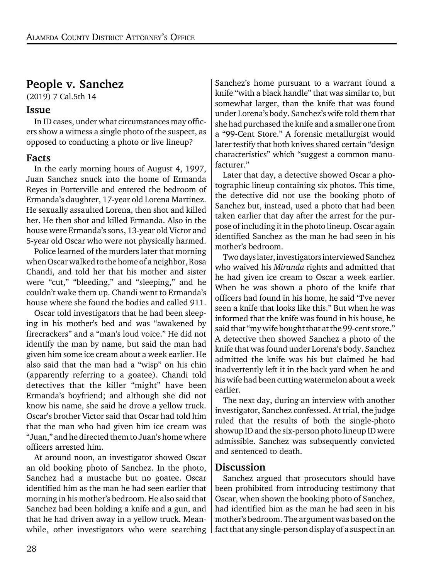#### People v. Sanchez

(2019) 7 Cal.5th 14

#### Issue

In ID cases, under what circumstances may officers show a witness a single photo of the suspect, as opposed to conducting a photo or live lineup?

#### Facts

In the early morning hours of August 4, 1997, Juan Sanchez snuck into the home of Ermanda Reyes in Porterville and entered the bedroom of Ermanda's daughter, 17-year old Lorena Martinez. He sexually assaulted Lorena, then shot and killed her. He then shot and killed Ermanda. Also in the house were Ermanda's sons, 13-year old Victor and 5-year old Oscar who were not physically harmed.

Police learned of the murders later that morning when Oscar walked to the home of a neighbor, Rosa Chandi, and told her that his mother and sister were "cut," "bleeding," and "sleeping," and he couldn't wake them up. Chandi went to Ermanda's house where she found the bodies and called 911.

Oscar told investigators that he had been sleeping in his mother's bed and was "awakened by firecrackers" and a "man's loud voice." He did not identify the man by name, but said the man had given him some ice cream about a week earlier. He also said that the man had a "wisp" on his chin (apparently referring to a goatee). Chandi told detectives that the killer "might" have been Ermanda's boyfriend; and although she did not know his name, she said he drove a yellow truck. Oscar's brother Victor said that Oscar had told him that the man who had given him ice cream was "Juan," and he directed them to Juan's home where officers arrested him.

At around noon, an investigator showed Oscar an old booking photo of Sanchez. In the photo, Sanchez had a mustache but no goatee. Oscar identified him as the man he had seen earlier that morning in his mother's bedroom. He also said that Sanchez had been holding a knife and a gun, and that he had driven away in a yellow truck. Meanwhile, other investigators who were searching Sanchez's home pursuant to a warrant found a knife "with a black handle" that was similar to, but somewhat larger, than the knife that was found under Lorena's body. Sanchez's wife told them that she had purchased the knife and a smaller one from a "99-Cent Store." A forensic metallurgist would later testify that both knives shared certain "design characteristics" which "suggest a common manufacturer."

Later that day, a detective showed Oscar a photographic lineup containing six photos. This time, the detective did not use the booking photo of Sanchez but, instead, used a photo that had been taken earlier that day after the arrest for the purpose of including it in the photo lineup. Oscar again identified Sanchez as the man he had seen in his mother's bedroom.

Two days later, investigators interviewed Sanchez who waived his *Miranda* rights and admitted that he had given ice cream to Oscar a week earlier. When he was shown a photo of the knife that officers had found in his home, he said "I've never seen a knife that looks like this." But when he was informed that the knife was found in his house, he said that "my wife bought that at the 99-cent store." A detective then showed Sanchez a photo of the knife that was found under Lorena's body. Sanchez admitted the knife was his but claimed he had inadvertently left it in the back yard when he and his wife had been cutting watermelon about a week earlier.

The next day, during an interview with another investigator, Sanchez confessed. At trial, the judge ruled that the results of both the single-photo showup ID and the six-person photo lineup ID were admissible. Sanchez was subsequently convicted and sentenced to death.

#### Discussion

Sanchez argued that prosecutors should have been prohibited from introducing testimony that Oscar, when shown the booking photo of Sanchez, had identified him as the man he had seen in his mother's bedroom. The argument was based on the fact that any single-person display of a suspect in an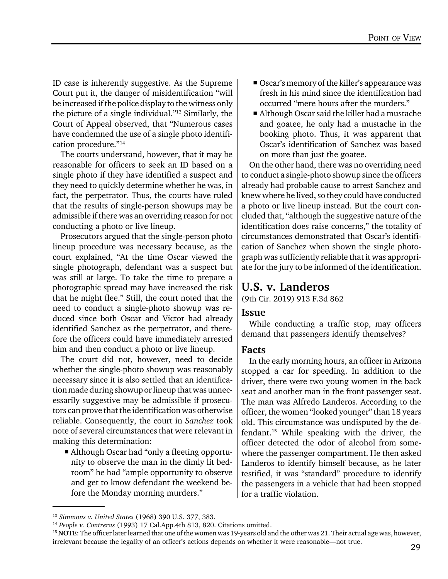ID case is inherently suggestive. As the Supreme Court put it, the danger of misidentification "will be increased if the police display to the witness only the picture of a single individual."13 Similarly, the Court of Appeal observed, that "Numerous cases have condemned the use of a single photo identification procedure."14

The courts understand, however, that it may be reasonable for officers to seek an ID based on a single photo if they have identified a suspect and they need to quickly determine whether he was, in fact, the perpetrator. Thus, the courts have ruled that the results of single-person showups may be admissible if there was an overriding reason for not conducting a photo or live lineup.

Prosecutors argued that the single-person photo lineup procedure was necessary because, as the court explained, "At the time Oscar viewed the single photograph, defendant was a suspect but was still at large. To take the time to prepare a photographic spread may have increased the risk that he might flee." Still, the court noted that the need to conduct a single-photo showup was reduced since both Oscar and Victor had already identified Sanchez as the perpetrator, and therefore the officers could have immediately arrested him and then conduct a photo or live lineup.

The court did not, however, need to decide whether the single-photo showup was reasonably necessary since it is also settled that an identification made during showup or lineup that was unnecessarily suggestive may be admissible if prosecutors can prove that the identification was otherwise reliable. Consequently, the court in *Sanchez* took note of several circumstances that were relevant in making this determination:

 Although Oscar had "only a fleeting opportunity to observe the man in the dimly lit bedroom" he had "ample opportunity to observe and get to know defendant the weekend before the Monday morning murders."

- Oscar's memory of the killer's appearance was fresh in his mind since the identification had occurred "mere hours after the murders."
- Although Oscar said the killer had a mustache and goatee, he only had a mustache in the booking photo. Thus, it was apparent that Oscar's identification of Sanchez was based on more than just the goatee.

On the other hand, there was no overriding need to conduct a single-photo showup since the officers already had probable cause to arrest Sanchez and knew where he lived, so they could have conducted a photo or live lineup instead. But the court concluded that, "although the suggestive nature of the identification does raise concerns," the totality of circumstances demonstrated that Oscar's identification of Sanchez when shown the single photograph was sufficiently reliable that it was appropriate for the jury to be informed of the identification.

#### U.S. v. Landeros

(9th Cir. 2019) 913 F.3d 862

#### Issue

While conducting a traffic stop, may officers demand that passengers identify themselves?

#### Facts

In the early morning hours, an officer in Arizona stopped a car for speeding. In addition to the driver, there were two young women in the back seat and another man in the front passenger seat. The man was Alfredo Landeros. According to the officer, the women "looked younger" than 18 years old. This circumstance was undisputed by the defendant.15 While speaking with the driver, the officer detected the odor of alcohol from somewhere the passenger compartment. He then asked Landeros to identify himself because, as he later testified, it was "standard" procedure to identify the passengers in a vehicle that had been stopped for a traffic violation.

<sup>13</sup> *Simmons v. United States* (1968) 390 U.S. 377, 383.

<sup>14</sup> *People v. Contreras* (1993) 17 Cal.App.4th 813, 820. Citations omitted.

<sup>&</sup>lt;sup>15</sup> NOTE: The officer later learned that one of the women was 19-years old and the other was 21. Their actual age was, however, irrelevant because the legality of an officer's actions depends on whether it were reasonable—not true.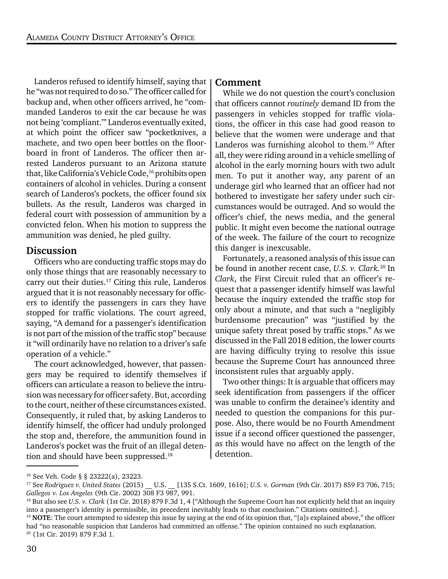Landeros refused to identify himself, saying that he "was not required to do so." The officer called for backup and, when other officers arrived, he "commanded Landeros to exit the car because he was not being 'compliant.'" Landeros eventually exited, at which point the officer saw "pocketknives, a machete, and two open beer bottles on the floorboard in front of Landeros. The officer then arrested Landeros pursuant to an Arizona statute that, like California's Vehicle Code,<sup>16</sup> prohibits open containers of alcohol in vehicles. During a consent search of Landeros's pockets, the officer found six bullets. As the result, Landeros was charged in federal court with possession of ammunition by a convicted felon. When his motion to suppress the ammunition was denied, he pled guilty.

#### Discussion

Officers who are conducting traffic stops may do only those things that are reasonably necessary to carry out their duties.17 Citing this rule, Landeros argued that it is not reasonably necessary for officers to identify the passengers in cars they have stopped for traffic violations. The court agreed, saying, "A demand for a passenger's identification is not part of the mission of the traffic stop" because it "will ordinarily have no relation to a driver's safe operation of a vehicle."

The court acknowledged, however, that passengers may be required to identify themselves if officers can articulate a reason to believe the intrusion was necessary for officer safety. But, according to the court, neither of these circumstances existed. Consequently, it ruled that, by asking Landeros to identify himself, the officer had unduly prolonged the stop and, therefore, the ammunition found in Landeros's pocket was the fruit of an illegal detention and should have been suppressed.<sup>18</sup>

#### Comment

While we do not question the court's conclusion that officers cannot *routinely* demand ID from the passengers in vehicles stopped for traffic violations, the officer in this case had good reason to believe that the women were underage and that Landeros was furnishing alcohol to them.<sup>19</sup> After all, they were riding around in a vehicle smelling of alcohol in the early morning hours with two adult men. To put it another way, any parent of an underage girl who learned that an officer had not bothered to investigate her safety under such circumstances would be outraged. And so would the officer's chief, the news media, and the general public. It might even become the national outrage of the week. The failure of the court to recognize this danger is inexcusable.

Fortunately, a reasoned analysis of this issue can be found in another recent case, *U.S. v. Clark.*20 In *Clark*, the First Circuit ruled that an officer's request that a passenger identify himself was lawful because the inquiry extended the traffic stop for only about a minute, and that such a "negligibly burdensome precaution" was "justified by the unique safety threat posed by traffic stops." As we discussed in the Fall 2018 edition, the lower courts are having difficulty trying to resolve this issue because the Supreme Court has announced three inconsistent rules that arguably apply.

Two other things: It is arguable that officers may seek identification from passengers if the officer was unable to confirm the detainee's identity and needed to question the companions for this purpose. Also, there would be no Fourth Amendment issue if a second officer questioned the passenger, as this would have no affect on the length of the detention.

<sup>16</sup> See Veh. Code § § 23222(a), 23223.

<sup>17</sup> See *Rodriguez v. United States* (2015) \_\_ U.S. \_\_ [135 S.Ct. 1609, 1616]; *U.S. v. Gorman* (9th Cir. 2017) 859 F3 706, 715; *Gallegos v. Los Angeles* (9th Cir. 2002) 308 F3 987, 991.

<sup>&</sup>lt;sup>18</sup> But also see *U.S. v. Clark* (1st Cir. 2018) 879 F.3d 1, 4 ["Although the Supreme Court has not explicitly held that an inquiry into a passenger's identity is permissible, its precedent inevitably leads to that conclusion." Citations omitted.].

 $19$  NOTE: The court attempted to sidestep this issue by saying at the end of its opinion that, "[a]s explained above," the officer had "no reasonable suspicion that Landeros had committed an offense." The opinion contained no such explanation. 20 (1st Cir. 2019) 879 F.3d 1.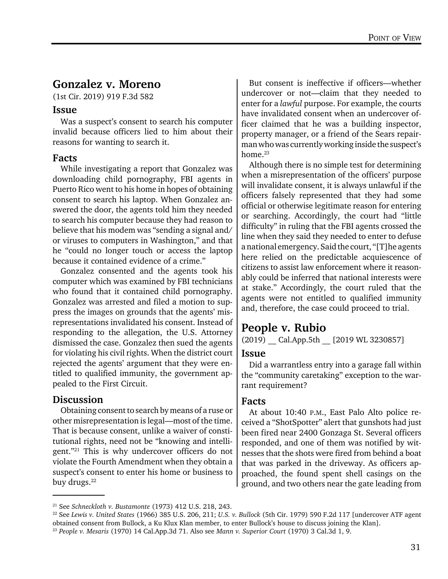#### Gonzalez v. Moreno

(1st Cir. 2019) 919 F.3d 582

#### Issue

Was a suspect's consent to search his computer invalid because officers lied to him about their reasons for wanting to search it.

#### Facts

While investigating a report that Gonzalez was downloading child pornography, FBI agents in Puerto Rico went to his home in hopes of obtaining consent to search his laptop. When Gonzalez answered the door, the agents told him they needed to search his computer because they had reason to believe that his modem was "sending a signal and/ or viruses to computers in Washington," and that he "could no longer touch or access the laptop because it contained evidence of a crime."

Gonzalez consented and the agents took his computer which was examined by FBI technicians who found that it contained child pornography. Gonzalez was arrested and filed a motion to suppress the images on grounds that the agents' misrepresentations invalidated his consent. Instead of responding to the allegation, the U.S. Attorney dismissed the case. Gonzalez then sued the agents for violating his civil rights. When the district court rejected the agents' argument that they were entitled to qualified immunity, the government appealed to the First Circuit.

#### **Discussion**

Obtaining consent to search by means of a ruse or other misrepresentation is legal—most of the time. That is because consent, unlike a waiver of constitutional rights, need not be "knowing and intelligent."21 This is why undercover officers do not violate the Fourth Amendment when they obtain a suspect's consent to enter his home or business to buy drugs.<sup>22</sup>

But consent is ineffective if officers—whether undercover or not—claim that they needed to enter for a *lawful* purpose. For example, the courts have invalidated consent when an undercover officer claimed that he was a building inspector, property manager, or a friend of the Sears repairman who was currently working inside the suspect's home.<sup>23</sup>

Although there is no simple test for determining when a misrepresentation of the officers' purpose will invalidate consent, it is always unlawful if the officers falsely represented that they had some official or otherwise legitimate reason for entering or searching. Accordingly, the court had "little difficulty" in ruling that the FBI agents crossed the line when they said they needed to enter to defuse a national emergency. Said the court, "[T]he agents here relied on the predictable acquiescence of citizens to assist law enforcement where it reasonably could be inferred that national interests were at stake." Accordingly, the court ruled that the agents were not entitled to qualified immunity and, therefore, the case could proceed to trial.

#### People v. Rubio

(2019) Cal.App.5th [2019 WL 3230857]

#### Issue

Did a warrantless entry into a garage fall within the "community caretaking" exception to the warrant requirement?

#### Facts

At about 10:40 P.M., East Palo Alto police received a "ShotSpotter" alert that gunshots had just been fired near 2400 Gonzaga St. Several officers responded, and one of them was notified by witnesses that the shots were fired from behind a boat that was parked in the driveway. As officers approached, the found spent shell casings on the ground, and two others near the gate leading from

<sup>21</sup> See *Schneckloth v. Bustamonte* (1973) 412 U.S. 218, 243.

<sup>22</sup> See *Lewis v. United States* (1966) 385 U.S. 206, 211; *U.S. v. Bullock* (5th Cir. 1979) 590 F.2d 117 [undercover ATF agent obtained consent from Bullock, a Ku Klux Klan member, to enter Bullock's house to discuss joining the Klan].

<sup>23</sup> *People v. Mesaris* (1970) 14 Cal.App.3d 71. Also see *Mann v. Superior Court* (1970) 3 Cal.3d 1, 9.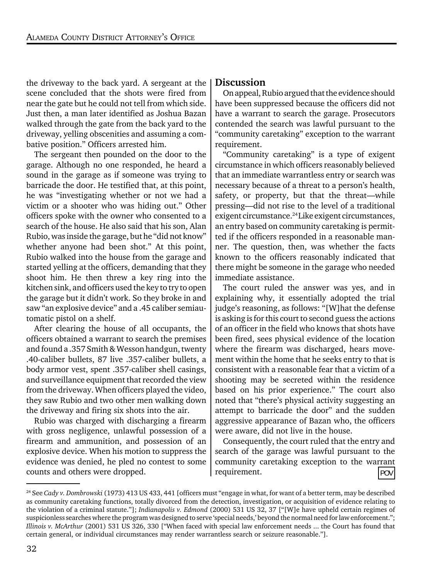the driveway to the back yard. A sergeant at the scene concluded that the shots were fired from near the gate but he could not tell from which side. Just then, a man later identified as Joshua Bazan walked through the gate from the back yard to the driveway, yelling obscenities and assuming a combative position." Officers arrested him.

The sergeant then pounded on the door to the garage. Although no one responded, he heard a sound in the garage as if someone was trying to barricade the door. He testified that, at this point, he was "investigating whether or not we had a victim or a shooter who was hiding out." Other officers spoke with the owner who consented to a search of the house. He also said that his son, Alan Rubio, was inside the garage, but he "did not know" whether anyone had been shot." At this point, Rubio walked into the house from the garage and started yelling at the officers, demanding that they shoot him. He then threw a key ring into the kitchen sink, and officers used the key to try to open the garage but it didn't work. So they broke in and saw "an explosive device" and a .45 caliber semiautomatic pistol on a shelf.

After clearing the house of all occupants, the officers obtained a warrant to search the premises and found a .357 Smith & Wesson handgun, twenty .40-caliber bullets, 87 live .357-caliber bullets, a body armor vest, spent .357-caliber shell casings, and surveillance equipment that recorded the view from the driveway. When officers played the video, they saw Rubio and two other men walking down the driveway and firing six shots into the air.

Rubio was charged with discharging a firearm with gross negligence, unlawful possession of a firearm and ammunition, and possession of an explosive device. When his motion to suppress the evidence was denied, he pled no contest to some counts and others were dropped.

#### **Discussion**

On appeal, Rubio argued that the evidence should have been suppressed because the officers did not have a warrant to search the garage. Prosecutors contended the search was lawful pursuant to the "community caretaking" exception to the warrant requirement.

"Community caretaking" is a type of exigent circumstance in which officers reasonably believed that an immediate warrantless entry or search was necessary because of a threat to a person's health, safety, or property, but that the threat—while pressing—did not rise to the level of a traditional exigent circumstance.<sup>24</sup> Like exigent circumstances, an entry based on community caretaking is permitted if the officers responded in a reasonable manner. The question, then, was whether the facts known to the officers reasonably indicated that there might be someone in the garage who needed immediate assistance.

The court ruled the answer was yes, and in explaining why, it essentially adopted the trial judge's reasoning, as follows: "[W]hat the defense is asking is for this court to second guess the actions of an officer in the field who knows that shots have been fired, sees physical evidence of the location where the firearm was discharged, hears movement within the home that he seeks entry to that is consistent with a reasonable fear that a victim of a shooting may be secreted within the residence based on his prior experience." The court also noted that "there's physical activity suggesting an attempt to barricade the door" and the sudden aggressive appearance of Bazan who, the officers were aware, did not live in the house.

Consequently, the court ruled that the entry and search of the garage was lawful pursuant to the community caretaking exception to the warrant requirement. POV

<sup>24</sup> See *Cady v. Dombrowski* (1973) 413 US 433, 441 [officers must "engage in what, for want of a better term, may be described as community caretaking functions, totally divorced from the detection, investigation, or acquisition of evidence relating to the violation of a criminal statute."]; *Indianapolis v. Edmond* (2000) 531 US 32, 37 ["[W]e have upheld certain regimes of suspicionless searches where the program was designed to serve 'special needs,' beyond the normal need for law enforcement."; *Illinois v. McArthur* (2001) 531 US 326, 330 ["When faced with special law enforcement needs ... the Court has found that certain general, or individual circumstances may render warrantless search or seizure reasonable."].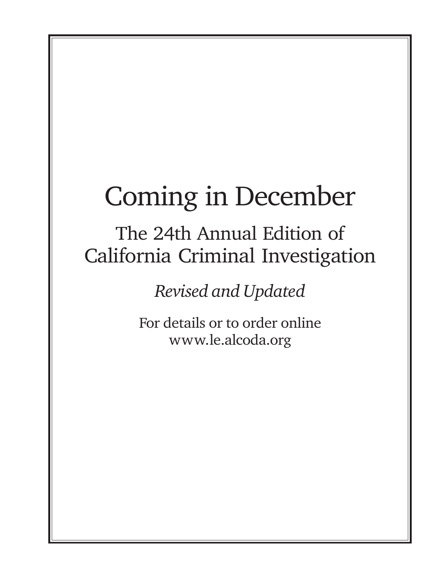### Coming in December

### The 24th Annual Edition of California Criminal Investigation

*Revised and Updated*

For details or to order online www.le.alcoda.org